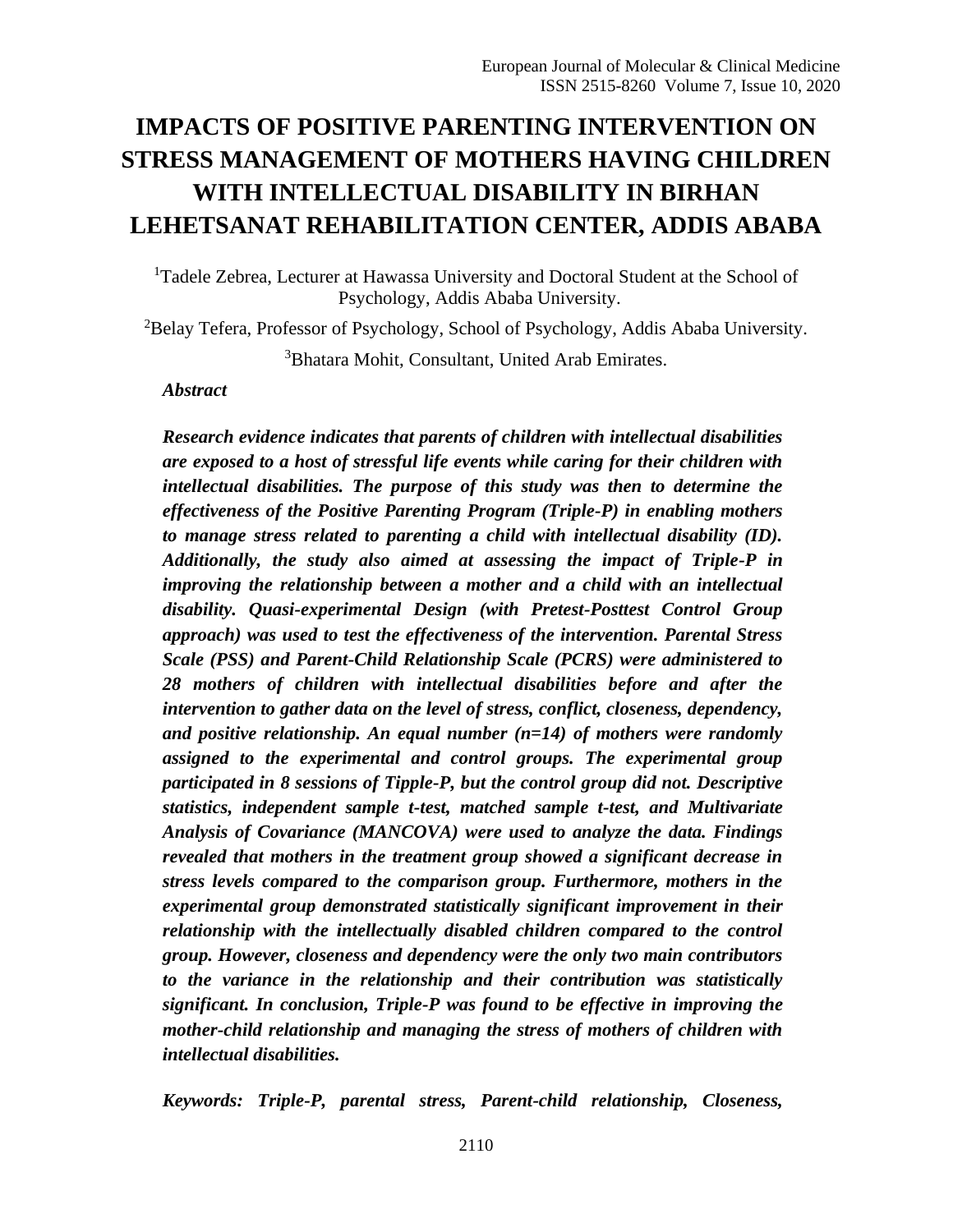# **IMPACTS OF POSITIVE PARENTING INTERVENTION ON STRESS MANAGEMENT OF MOTHERS HAVING CHILDREN WITH INTELLECTUAL DISABILITY IN BIRHAN LEHETSANAT REHABILITATION CENTER, ADDIS ABABA**

<sup>1</sup>Tadele Zebrea, Lecturer at Hawassa University and Doctoral Student at the School of Psychology, Addis Ababa University.

<sup>2</sup>Belay Tefera, Professor of Psychology, School of Psychology, Addis Ababa University.

<sup>3</sup>Bhatara Mohit, Consultant, United Arab Emirates.

#### *Abstract*

*Research evidence indicates that parents of children with intellectual disabilities are exposed to a host of stressful life events while caring for their children with intellectual disabilities. The purpose of this study was then to determine the effectiveness of the Positive Parenting Program (Triple-P) in enabling mothers to manage stress related to parenting a child with intellectual disability (ID). Additionally, the study also aimed at assessing the impact of Triple-P in improving the relationship between a mother and a child with an intellectual disability. Quasi-experimental Design (with Pretest-Posttest Control Group approach) was used to test the effectiveness of the intervention. Parental Stress Scale (PSS) and Parent-Child Relationship Scale (PCRS) were administered to 28 mothers of children with intellectual disabilities before and after the intervention to gather data on the level of stress, conflict, closeness, dependency, and positive relationship. An equal number (n=14) of mothers were randomly assigned to the experimental and control groups. The experimental group participated in 8 sessions of Tipple-P, but the control group did not. Descriptive statistics, independent sample t-test, matched sample t-test, and Multivariate Analysis of Covariance (MANCOVA) were used to analyze the data. Findings revealed that mothers in the treatment group showed a significant decrease in stress levels compared to the comparison group. Furthermore, mothers in the experimental group demonstrated statistically significant improvement in their relationship with the intellectually disabled children compared to the control group. However, closeness and dependency were the only two main contributors to the variance in the relationship and their contribution was statistically significant. In conclusion, Triple-P was found to be effective in improving the mother-child relationship and managing the stress of mothers of children with intellectual disabilities.* 

*Keywords: Triple-P, parental stress, Parent-child relationship, Closeness,*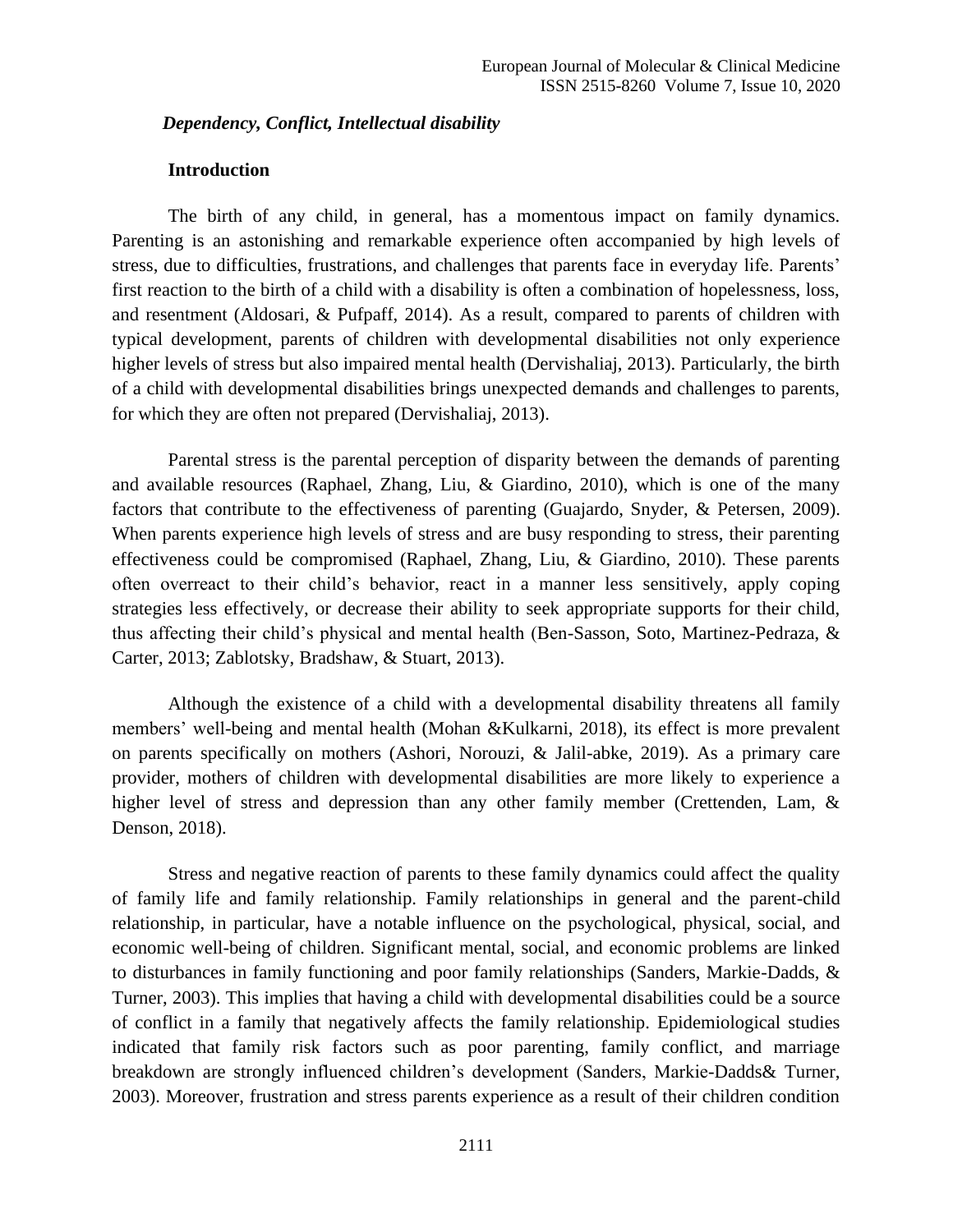*Dependency, Conflict, Intellectual disability*

#### **Introduction**

The birth of any child, in general, has a momentous impact on family dynamics. Parenting is an astonishing and remarkable experience often accompanied by high levels of stress, due to difficulties, frustrations, and challenges that parents face in everyday life. Parents' first reaction to the birth of a child with a disability is often a combination of hopelessness, loss, and resentment (Aldosari, & Pufpaff, 2014). As a result, compared to parents of children with typical development, parents of children with developmental disabilities not only experience higher levels of stress but also impaired mental health (Dervishaliaj, 2013). Particularly, the birth of a child with developmental disabilities brings unexpected demands and challenges to parents, for which they are often not prepared (Dervishaliaj, 2013).

Parental stress is the parental perception of disparity between the demands of parenting and available resources (Raphael, Zhang, Liu, & Giardino, 2010), which is one of the many factors that contribute to the effectiveness of parenting (Guajardo, Snyder, & Petersen, 2009). When parents experience high levels of stress and are busy responding to stress, their parenting effectiveness could be compromised (Raphael, Zhang, Liu, & Giardino, 2010). These parents often overreact to their child's behavior, react in a manner less sensitively, apply coping strategies less effectively, or decrease their ability to seek appropriate supports for their child, thus affecting their child's physical and mental health (Ben-Sasson, Soto, Martinez-Pedraza, & Carter, 2013; Zablotsky, Bradshaw, & Stuart, 2013).

Although the existence of a child with a developmental disability threatens all family members' well-being and mental health (Mohan &Kulkarni, 2018), its effect is more prevalent on parents specifically on mothers (Ashori, Norouzi, & Jalil-abke, 2019). As a primary care provider, mothers of children with developmental disabilities are more likely to experience a higher level of stress and depression than any other family member (Crettenden, Lam, & Denson, 2018).

Stress and negative reaction of parents to these family dynamics could affect the quality of family life and family relationship. Family relationships in general and the parent-child relationship, in particular, have a notable influence on the psychological, physical, social, and economic well-being of children. Significant mental, social, and economic problems are linked to disturbances in family functioning and poor family relationships (Sanders, Markie-Dadds, & Turner, 2003). This implies that having a child with developmental disabilities could be a source of conflict in a family that negatively affects the family relationship. Epidemiological studies indicated that family risk factors such as poor parenting, family conflict, and marriage breakdown are strongly influenced children's development (Sanders, Markie-Dadds& Turner, 2003). Moreover, frustration and stress parents experience as a result of their children condition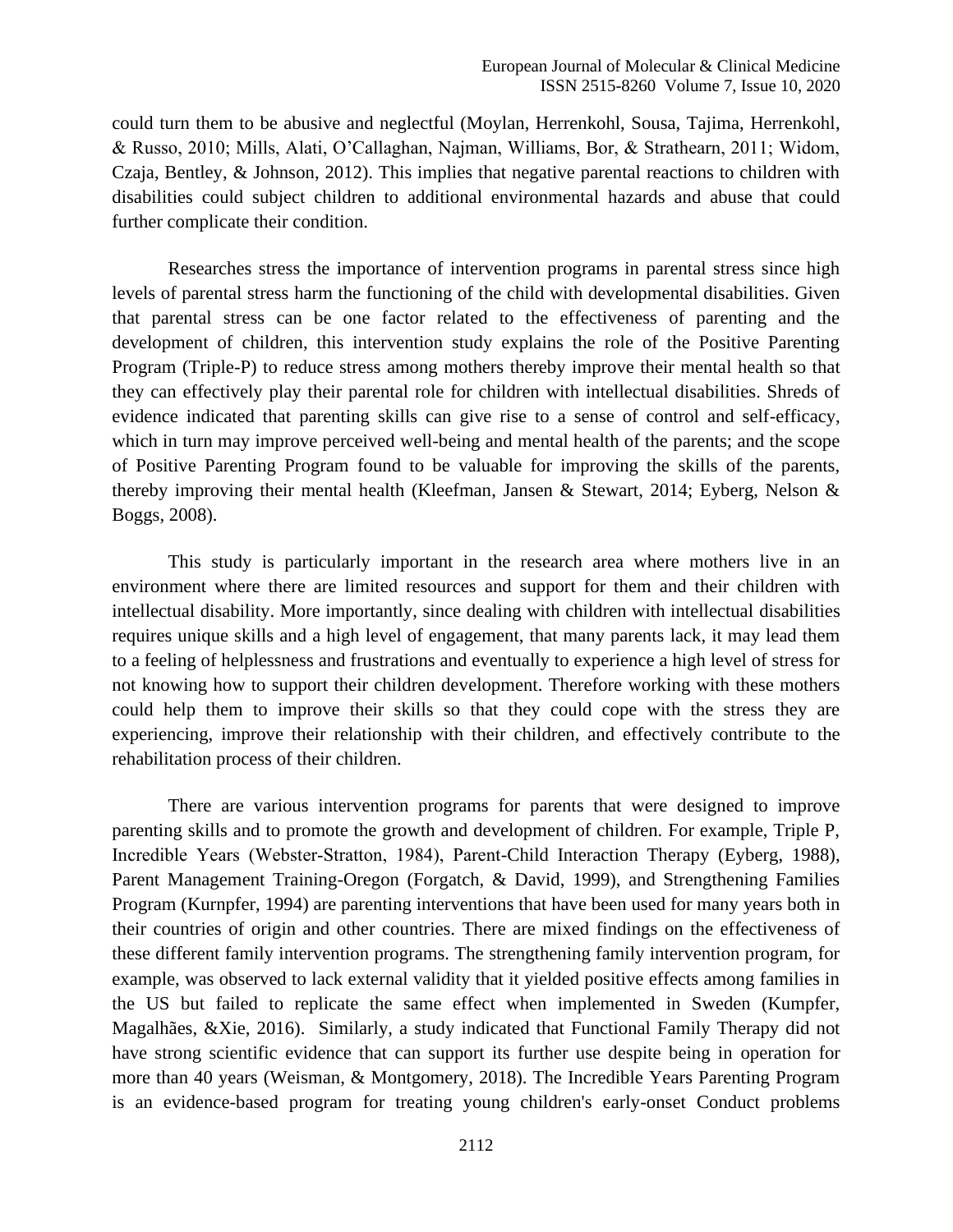could turn them to be abusive and neglectful (Moylan, Herrenkohl, Sousa, Tajima, Herrenkohl, & Russo, 2010; Mills, Alati, O'Callaghan, Najman, Williams, Bor, & Strathearn, 2011; Widom, Czaja, Bentley, & Johnson, 2012). This implies that negative parental reactions to children with disabilities could subject children to additional environmental hazards and abuse that could further complicate their condition.

Researches stress the importance of intervention programs in parental stress since high levels of parental stress harm the functioning of the child with developmental disabilities. Given that parental stress can be one factor related to the effectiveness of parenting and the development of children, this intervention study explains the role of the Positive Parenting Program (Triple-P) to reduce stress among mothers thereby improve their mental health so that they can effectively play their parental role for children with intellectual disabilities. Shreds of evidence indicated that parenting skills can give rise to a sense of control and self-efficacy, which in turn may improve perceived well-being and mental health of the parents; and the scope of Positive Parenting Program found to be valuable for improving the skills of the parents, thereby improving their mental health (Kleefman, Jansen & Stewart, 2014; Eyberg, Nelson & Boggs, 2008).

This study is particularly important in the research area where mothers live in an environment where there are limited resources and support for them and their children with intellectual disability. More importantly, since dealing with children with intellectual disabilities requires unique skills and a high level of engagement, that many parents lack, it may lead them to a feeling of helplessness and frustrations and eventually to experience a high level of stress for not knowing how to support their children development. Therefore working with these mothers could help them to improve their skills so that they could cope with the stress they are experiencing, improve their relationship with their children, and effectively contribute to the rehabilitation process of their children.

There are various intervention programs for parents that were designed to improve parenting skills and to promote the growth and development of children. For example, Triple P, Incredible Years (Webster‐Stratton, 1984), Parent-Child Interaction Therapy (Eyberg, 1988), Parent Management Training-Oregon (Forgatch, & David, 1999), and Strengthening Families Program (Kurnpfer, 1994) are parenting interventions that have been used for many years both in their countries of origin and other countries. There are mixed findings on the effectiveness of these different family intervention programs. The strengthening family intervention program, for example, was observed to lack external validity that it yielded positive effects among families in the US but failed to replicate the same effect when implemented in Sweden (Kumpfer, Magalhães, &Xie, 2016). Similarly, a study indicated that Functional Family Therapy did not have strong scientific evidence that can support its further use despite being in operation for more than 40 years (Weisman, & Montgomery, 2018). The Incredible Years Parenting Program is an evidence-based program for treating young children's early-onset Conduct problems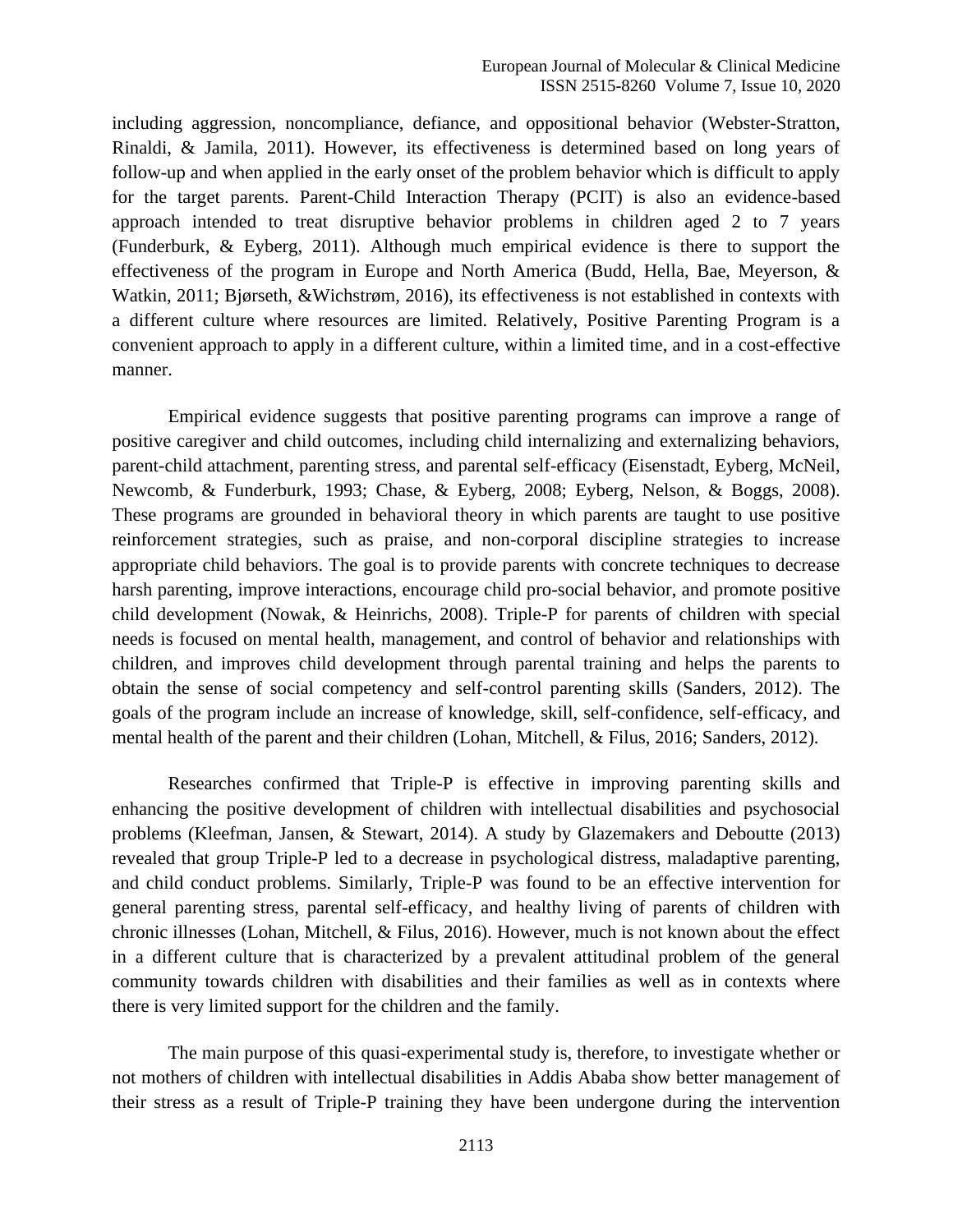including aggression, noncompliance, defiance, and oppositional behavior (Webster-Stratton, Rinaldi, & Jamila, 2011). However, its effectiveness is determined based on long years of follow-up and when applied in the early onset of the problem behavior which is difficult to apply for the target parents. Parent-Child Interaction Therapy (PCIT) is also an evidence-based approach intended to treat disruptive behavior problems in children aged 2 to 7 years (Funderburk, & Eyberg, 2011). Although much empirical evidence is there to support the effectiveness of the program in Europe and North America (Budd, Hella, Bae, Meyerson, & Watkin, 2011; Bjørseth, &Wichstrøm, 2016), its effectiveness is not established in contexts with a different culture where resources are limited. Relatively, Positive Parenting Program is a convenient approach to apply in a different culture, within a limited time, and in a cost-effective manner.

Empirical evidence suggests that positive parenting programs can improve a range of positive caregiver and child outcomes, including child internalizing and externalizing behaviors, parent-child attachment, parenting stress, and parental self-efficacy (Eisenstadt, Eyberg, McNeil, Newcomb, & Funderburk, 1993; Chase, & Eyberg, 2008; Eyberg, Nelson, & Boggs, 2008). These programs are grounded in behavioral theory in which parents are taught to use positive reinforcement strategies, such as praise, and non-corporal discipline strategies to increase appropriate child behaviors. The goal is to provide parents with concrete techniques to decrease harsh parenting, improve interactions, encourage child pro-social behavior, and promote positive child development (Nowak, & Heinrichs, 2008). Triple-P for parents of children with special needs is focused on mental health, management, and control of behavior and relationships with children, and improves child development through parental training and helps the parents to obtain the sense of social competency and self-control parenting skills (Sanders, 2012). The goals of the program include an increase of knowledge, skill, self-confidence, self-efficacy, and mental health of the parent and their children (Lohan, Mitchell, & Filus, 2016; Sanders, 2012).

Researches confirmed that Triple-P is effective in improving parenting skills and enhancing the positive development of children with intellectual disabilities and psychosocial problems (Kleefman, Jansen, & Stewart, 2014). A study by Glazemakers and Deboutte (2013) revealed that group Triple-P led to a decrease in psychological distress, maladaptive parenting, and child conduct problems. Similarly, Triple-P was found to be an effective intervention for general parenting stress, parental self-efficacy, and healthy living of parents of children with chronic illnesses (Lohan, Mitchell, & Filus, 2016). However, much is not known about the effect in a different culture that is characterized by a prevalent attitudinal problem of the general community towards children with disabilities and their families as well as in contexts where there is very limited support for the children and the family.

The main purpose of this quasi-experimental study is, therefore, to investigate whether or not mothers of children with intellectual disabilities in Addis Ababa show better management of their stress as a result of Triple-P training they have been undergone during the intervention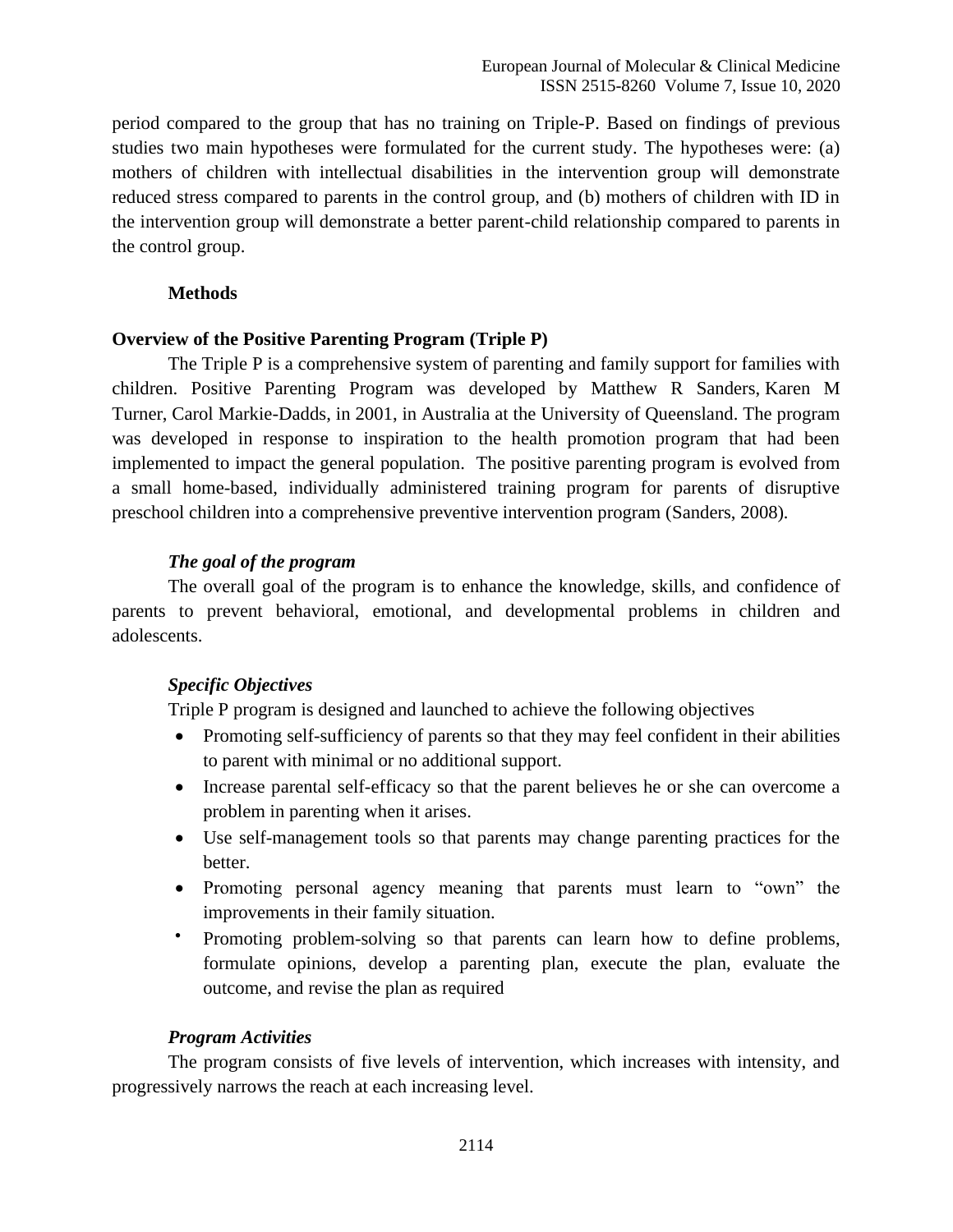period compared to the group that has no training on Triple-P. Based on findings of previous studies two main hypotheses were formulated for the current study. The hypotheses were: (a) mothers of children with intellectual disabilities in the intervention group will demonstrate reduced stress compared to parents in the control group, and (b) mothers of children with ID in the intervention group will demonstrate a better parent-child relationship compared to parents in the control group.

### **Methods**

### **Overview of the Positive Parenting Program (Triple P)**

The Triple P is a comprehensive system of parenting and family support for families with children. Positive Parenting Program was developed by [Matthew R Sanders,](about:blank) [Karen M](about:blank)  [Turner,](about:blank) [Carol Markie-Dadds,](about:blank) in 2001, in Australia at the University of Queensland. The program was developed in response to inspiration to the health promotion program that had been implemented to impact the general population. The positive parenting program is evolved from a small home-based, individually administered training program for parents of disruptive preschool children into a comprehensive preventive intervention program (Sanders, 2008)*.*

# *The goal of the program*

The overall goal of the program is to enhance the knowledge, skills, and confidence of parents to prevent behavioral, emotional, and developmental problems in children and adolescents.

# *Specific Objectives*

Triple P program is designed and launched to achieve the following objectives

- Promoting [self-sufficiency](about:blank) of parents so that they may feel confident in their abilities to parent with minimal or no additional support.
- Increase parental [self-efficacy](about:blank) so that the parent believes he or she can overcome a problem in parenting when it arises.
- Use self-management tools so that parents may change parenting practices for the better.
- Promoting personal agency meaning that parents must learn to "own" the improvements in their family situation.
- Promoting problem-solving so that parents can learn how to define problems, formulate opinions, develop a parenting plan, execute the plan, evaluate the outcome, and revise the plan as required

# *Program Activities*

The program consists of five levels of intervention, which increases with intensity, and progressively narrows the reach at each increasing level.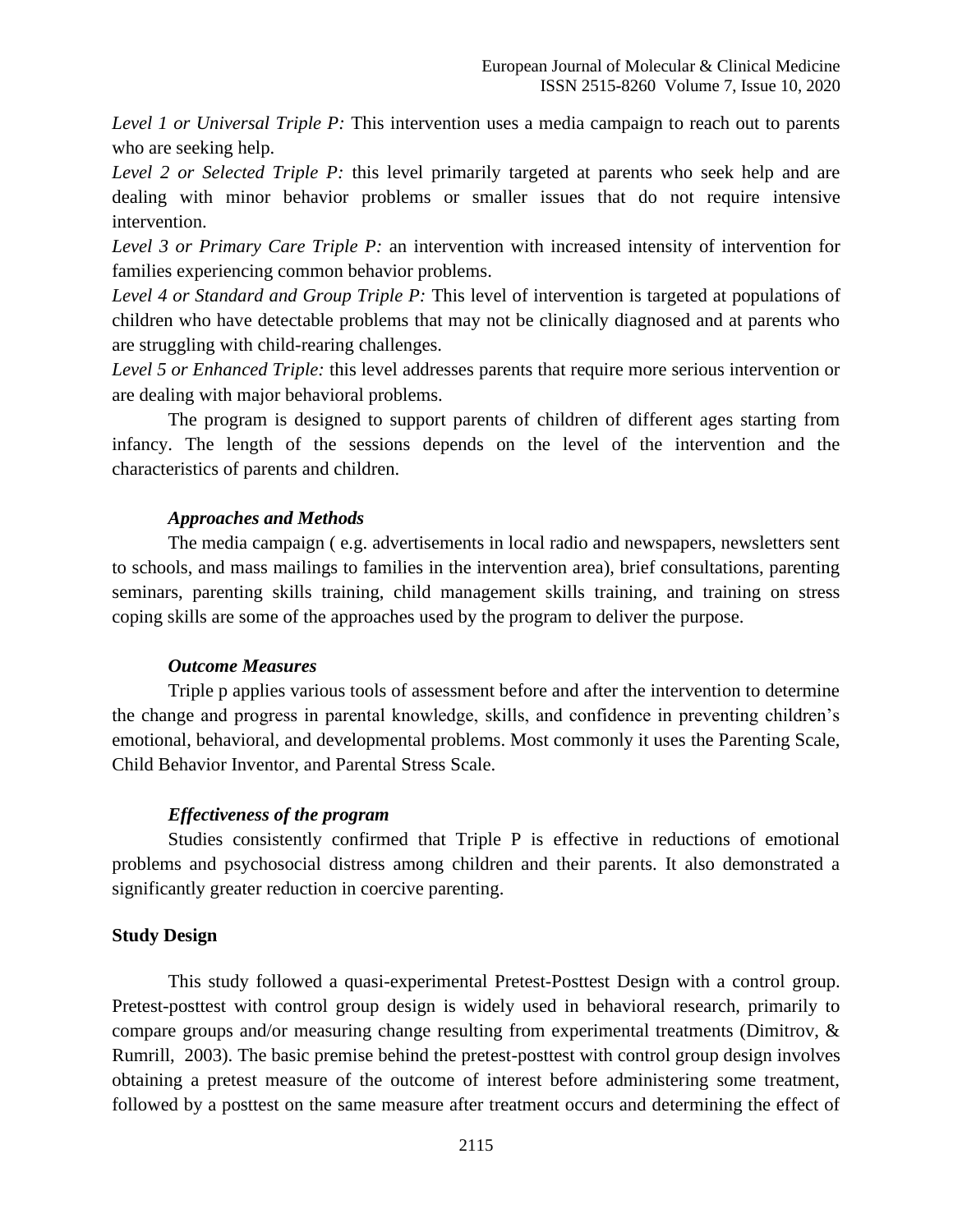*Level 1 or Universal Triple P:* This intervention uses a media campaign to reach out to parents who are seeking help.

*Level 2 or Selected Triple P:* this level primarily targeted at parents who seek help and are dealing with minor behavior problems or smaller issues that do not require intensive intervention.

*Level 3 or Primary Care Triple P:* an intervention with increased intensity of intervention for families experiencing common behavior problems.

*Level 4 or Standard and Group Triple P:* This level of intervention is targeted at populations of children who have detectable problems that may not be clinically diagnosed and at parents who are struggling with child-rearing challenges.

*Level 5 or Enhanced Triple:* this level addresses parents that require more serious intervention or are dealing with major behavioral problems.

The program is designed to support parents of children of different ages starting from infancy. The length of the sessions depends on the level of the intervention and the characteristics of parents and children.

### *Approaches and Methods*

The media campaign ( e.g. advertisements in local radio and newspapers, newsletters sent to schools, and mass mailings to families in the intervention area), brief consultations, parenting seminars, parenting skills training, child management skills training, and training on stress coping skills are some of the approaches used by the program to deliver the purpose.

### *Outcome Measures*

Triple p applies various tools of assessment before and after the intervention to determine the change and progress in parental knowledge, skills, and confidence in preventing children's emotional, behavioral, and developmental problems. Most commonly it uses the Parenting Scale, Child Behavior Inventor, and Parental Stress Scale.

### *Effectiveness of the program*

Studies consistently confirmed that Triple P is effective in reductions of emotional problems and psychosocial distress among children and their parents. It also demonstrated a significantly greater reduction in coercive parenting.

### **Study Design**

This study followed a quasi-experimental Pretest-Posttest Design with a control group. Pretest-posttest with control group design is widely used in behavioral research, primarily to compare groups and/or measuring change resulting from experimental treatments (Dimitrov, & Rumrill, 2003). The basic premise behind the pretest-posttest with control group design involves obtaining a pretest measure of the outcome of interest before administering some treatment, followed by a posttest on the same measure after treatment occurs and determining the effect of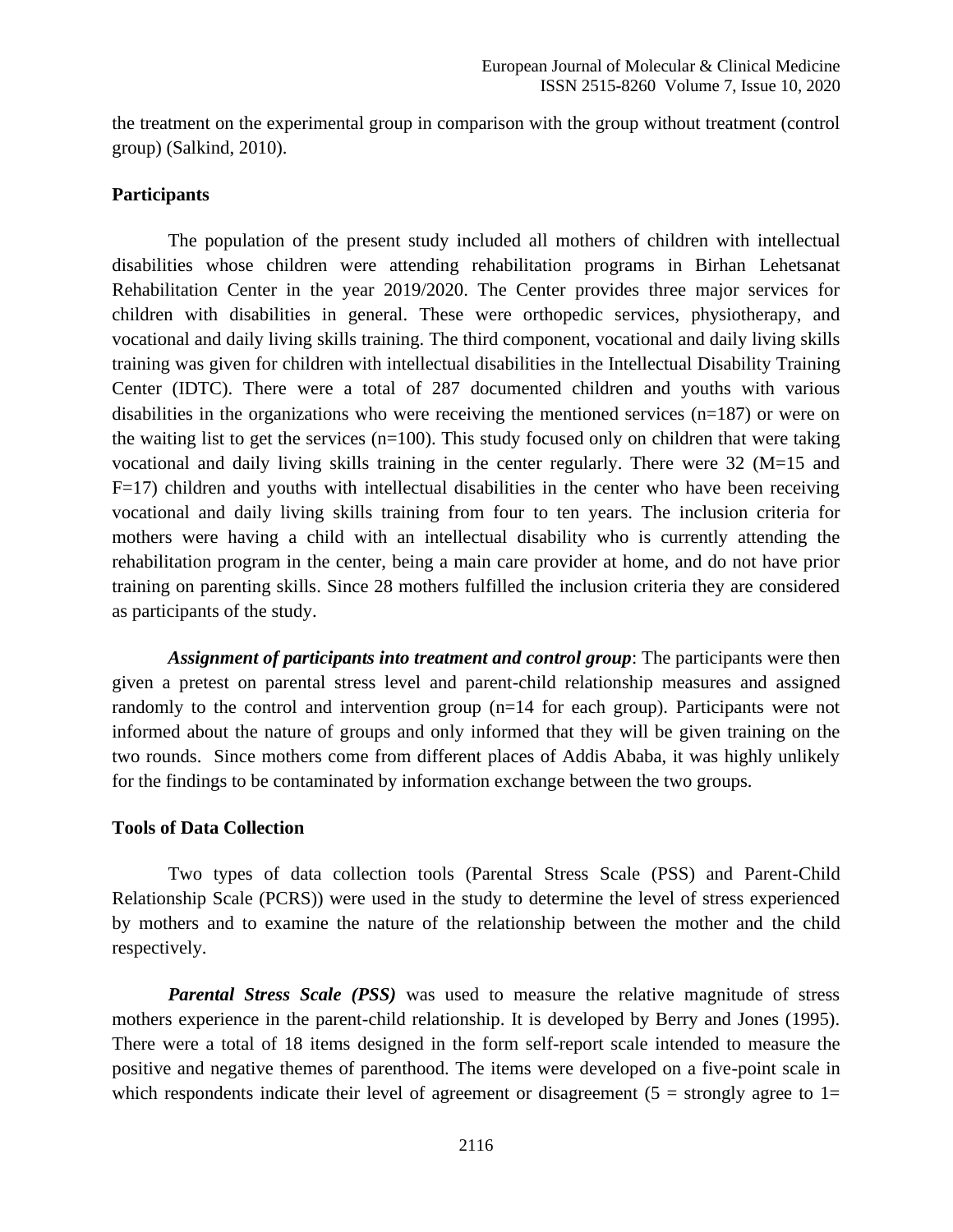the treatment on the experimental group in comparison with the group without treatment (control group) (Salkind, 2010).

### **Participants**

The population of the present study included all mothers of children with intellectual disabilities whose children were attending rehabilitation programs in Birhan Lehetsanat Rehabilitation Center in the year 2019/2020. The Center provides three major services for children with disabilities in general. These were orthopedic services, physiotherapy, and vocational and daily living skills training. The third component, vocational and daily living skills training was given for children with intellectual disabilities in the Intellectual Disability Training Center (IDTC). There were a total of 287 documented children and youths with various disabilities in the organizations who were receiving the mentioned services (n=187) or were on the waiting list to get the services  $(n=100)$ . This study focused only on children that were taking vocational and daily living skills training in the center regularly. There were 32 (M=15 and  $F=17$ ) children and youths with intellectual disabilities in the center who have been receiving vocational and daily living skills training from four to ten years. The inclusion criteria for mothers were having a child with an intellectual disability who is currently attending the rehabilitation program in the center, being a main care provider at home, and do not have prior training on parenting skills. Since 28 mothers fulfilled the inclusion criteria they are considered as participants of the study.

*Assignment of participants into treatment and control group*: The participants were then given a pretest on parental stress level and parent-child relationship measures and assigned randomly to the control and intervention group (n=14 for each group). Participants were not informed about the nature of groups and only informed that they will be given training on the two rounds. Since mothers come from different places of Addis Ababa, it was highly unlikely for the findings to be contaminated by information exchange between the two groups.

### **Tools of Data Collection**

Two types of data collection tools (Parental Stress Scale (PSS) and Parent-Child Relationship Scale (PCRS)) were used in the study to determine the level of stress experienced by mothers and to examine the nature of the relationship between the mother and the child respectively.

*Parental Stress Scale (PSS)* was used to measure the relative magnitude of stress mothers experience in the parent-child relationship. It is developed by Berry and Jones (1995). There were a total of 18 items designed in the form self-report scale intended to measure the positive and negative themes of parenthood. The items were developed on a five-point scale in which respondents indicate their level of agreement or disagreement ( $5 =$  strongly agree to  $1 =$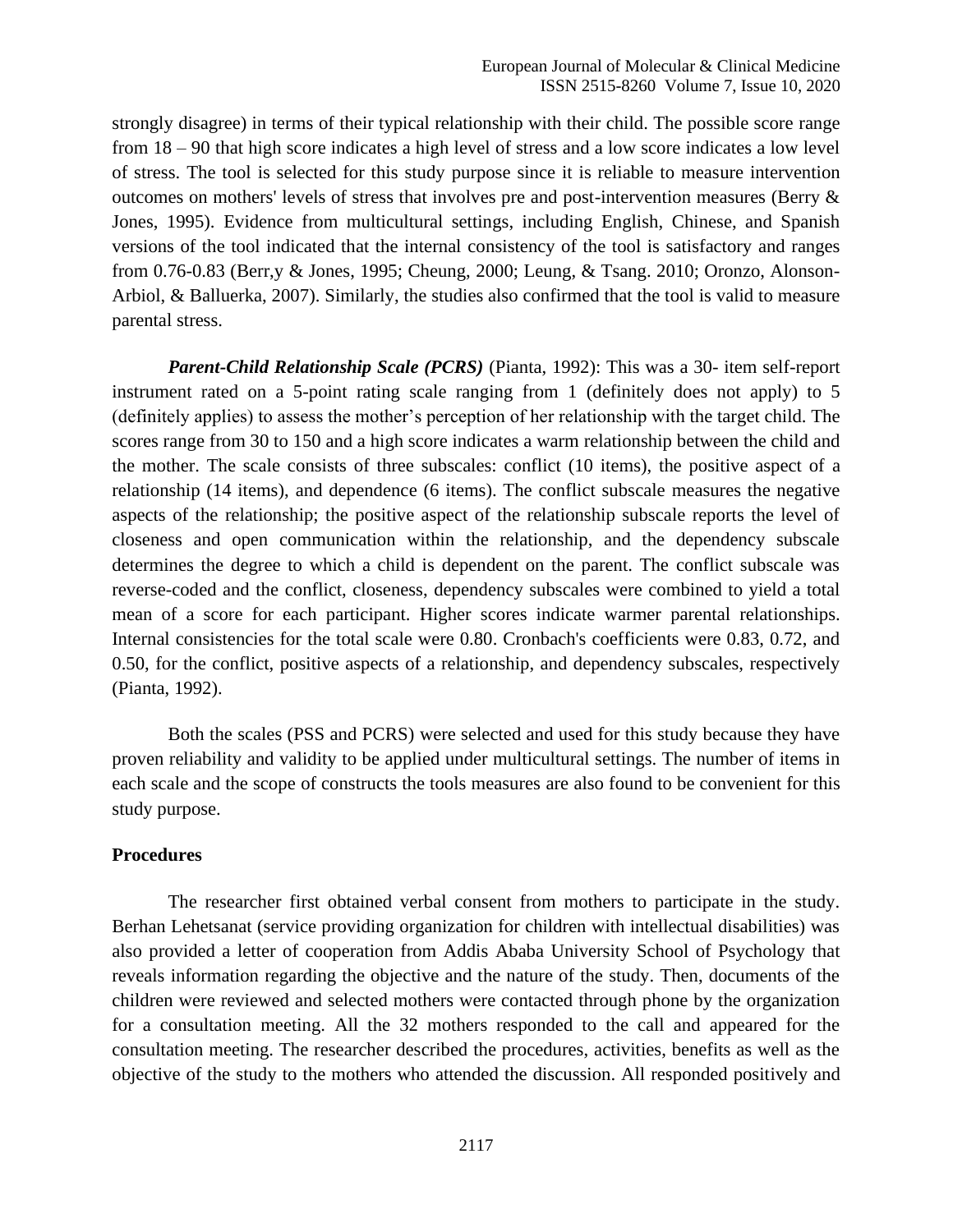strongly disagree) in terms of their typical relationship with their child. The possible score range from 18 – 90 that high score indicates a high level of stress and a low score indicates a low level of stress. The tool is selected for this study purpose since it is reliable to measure intervention outcomes on mothers' levels of stress that involves pre and post-intervention measures (Berry & Jones, 1995). Evidence from multicultural settings, including English, Chinese, and Spanish versions of the tool indicated that the internal consistency of the tool is satisfactory and ranges from 0.76-0.83 (Berr,y & Jones, 1995; Cheung, 2000; Leung, & Tsang. 2010; Oronzo, Alonson-Arbiol, & Balluerka, 2007). Similarly, the studies also confirmed that the tool is valid to measure parental stress.

*Parent-Child Relationship Scale (PCRS)* (Pianta, 1992): This was a 30- item self-report instrument rated on a 5-point rating scale ranging from 1 (definitely does not apply) to 5 (definitely applies) to assess the mother's perception of her relationship with the target child. The scores range from 30 to 150 and a high score indicates a warm relationship between the child and the mother. The scale consists of three subscales: conflict (10 items), the positive aspect of a relationship (14 items), and dependence (6 items). The conflict subscale measures the negative aspects of the relationship; the positive aspect of the relationship subscale reports the level of closeness and open communication within the relationship, and the dependency subscale determines the degree to which a child is dependent on the parent. The conflict subscale was reverse-coded and the conflict, closeness, dependency subscales were combined to yield a total mean of a score for each participant. Higher scores indicate warmer parental relationships. Internal consistencies for the total scale were 0.80. Cronbach's coefficients were 0.83, 0.72, and 0.50, for the conflict, positive aspects of a relationship, and dependency subscales, respectively (Pianta, 1992).

Both the scales (PSS and PCRS) were selected and used for this study because they have proven reliability and validity to be applied under multicultural settings. The number of items in each scale and the scope of constructs the tools measures are also found to be convenient for this study purpose.

### **Procedures**

The researcher first obtained verbal consent from mothers to participate in the study. Berhan Lehetsanat (service providing organization for children with intellectual disabilities) was also provided a letter of cooperation from Addis Ababa University School of Psychology that reveals information regarding the objective and the nature of the study. Then, documents of the children were reviewed and selected mothers were contacted through phone by the organization for a consultation meeting. All the 32 mothers responded to the call and appeared for the consultation meeting. The researcher described the procedures, activities, benefits as well as the objective of the study to the mothers who attended the discussion. All responded positively and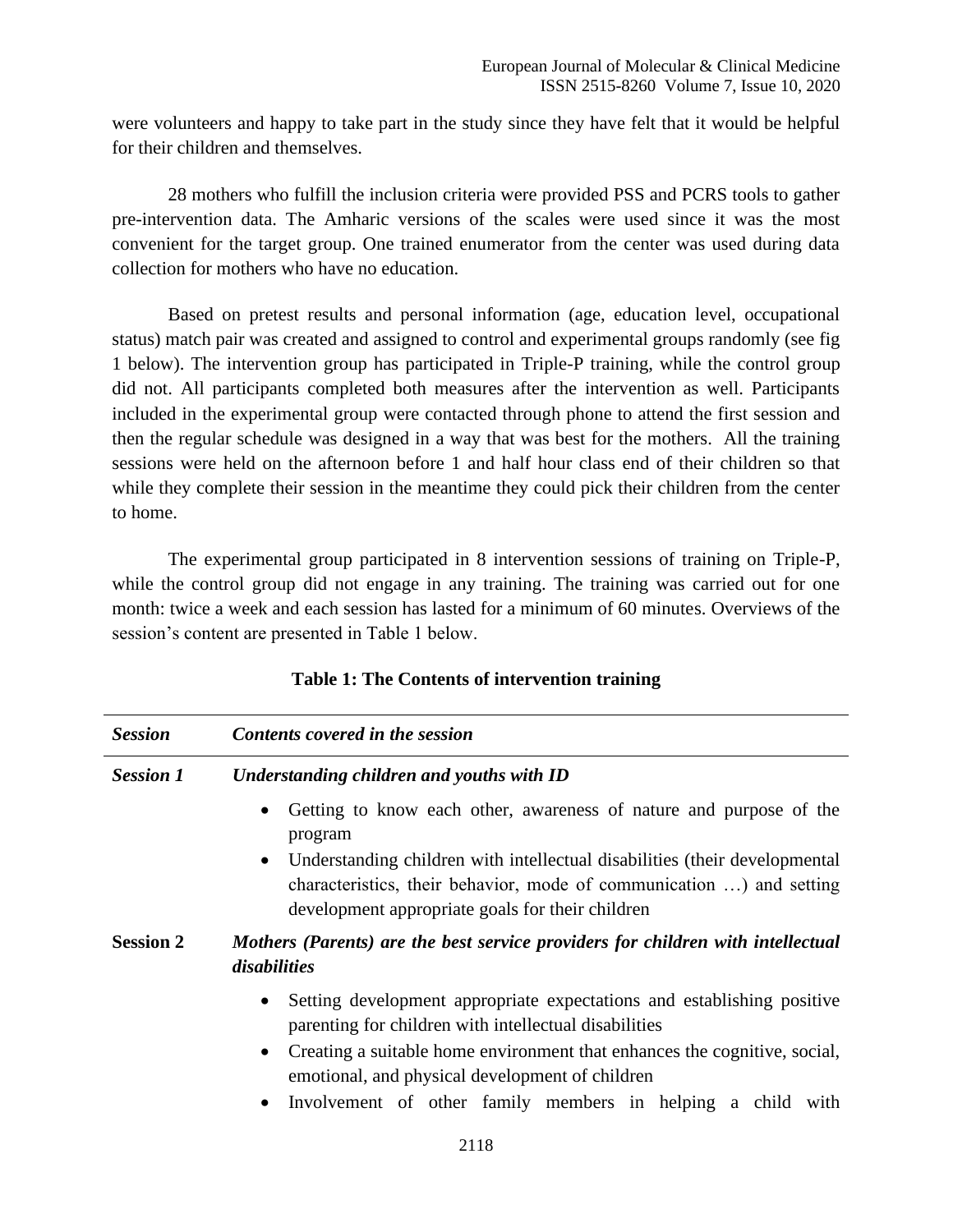were volunteers and happy to take part in the study since they have felt that it would be helpful for their children and themselves.

28 mothers who fulfill the inclusion criteria were provided PSS and PCRS tools to gather pre-intervention data. The Amharic versions of the scales were used since it was the most convenient for the target group. One trained enumerator from the center was used during data collection for mothers who have no education.

Based on pretest results and personal information (age, education level, occupational status) match pair was created and assigned to control and experimental groups randomly (see fig 1 below). The intervention group has participated in Triple-P training, while the control group did not. All participants completed both measures after the intervention as well. Participants included in the experimental group were contacted through phone to attend the first session and then the regular schedule was designed in a way that was best for the mothers. All the training sessions were held on the afternoon before 1 and half hour class end of their children so that while they complete their session in the meantime they could pick their children from the center to home.

The experimental group participated in 8 intervention sessions of training on Triple-P, while the control group did not engage in any training. The training was carried out for one month: twice a week and each session has lasted for a minimum of 60 minutes. Overviews of the session's content are presented in Table 1 below.

| <b>Session</b>   | Contents covered in the session                                                                                                                                                                                     |
|------------------|---------------------------------------------------------------------------------------------------------------------------------------------------------------------------------------------------------------------|
| <b>Session 1</b> | Understanding children and youths with ID                                                                                                                                                                           |
|                  | Getting to know each other, awareness of nature and purpose of the<br>$\bullet$<br>program                                                                                                                          |
|                  | Understanding children with intellectual disabilities (their developmental<br>$\bullet$<br>characteristics, their behavior, mode of communication ) and setting<br>development appropriate goals for their children |
| <b>Session 2</b> | Mothers (Parents) are the best service providers for children with intellectual<br>disabilities                                                                                                                     |
|                  | Setting development appropriate expectations and establishing positive<br>$\bullet$<br>parenting for children with intellectual disabilities                                                                        |
|                  | Creating a suitable home environment that enhances the cognitive, social,<br>$\bullet$<br>emotional, and physical development of children                                                                           |
|                  | Involvement of other family members in helping a child with<br>$\bullet$                                                                                                                                            |
|                  | 2118                                                                                                                                                                                                                |

# **Table 1: The Contents of intervention training**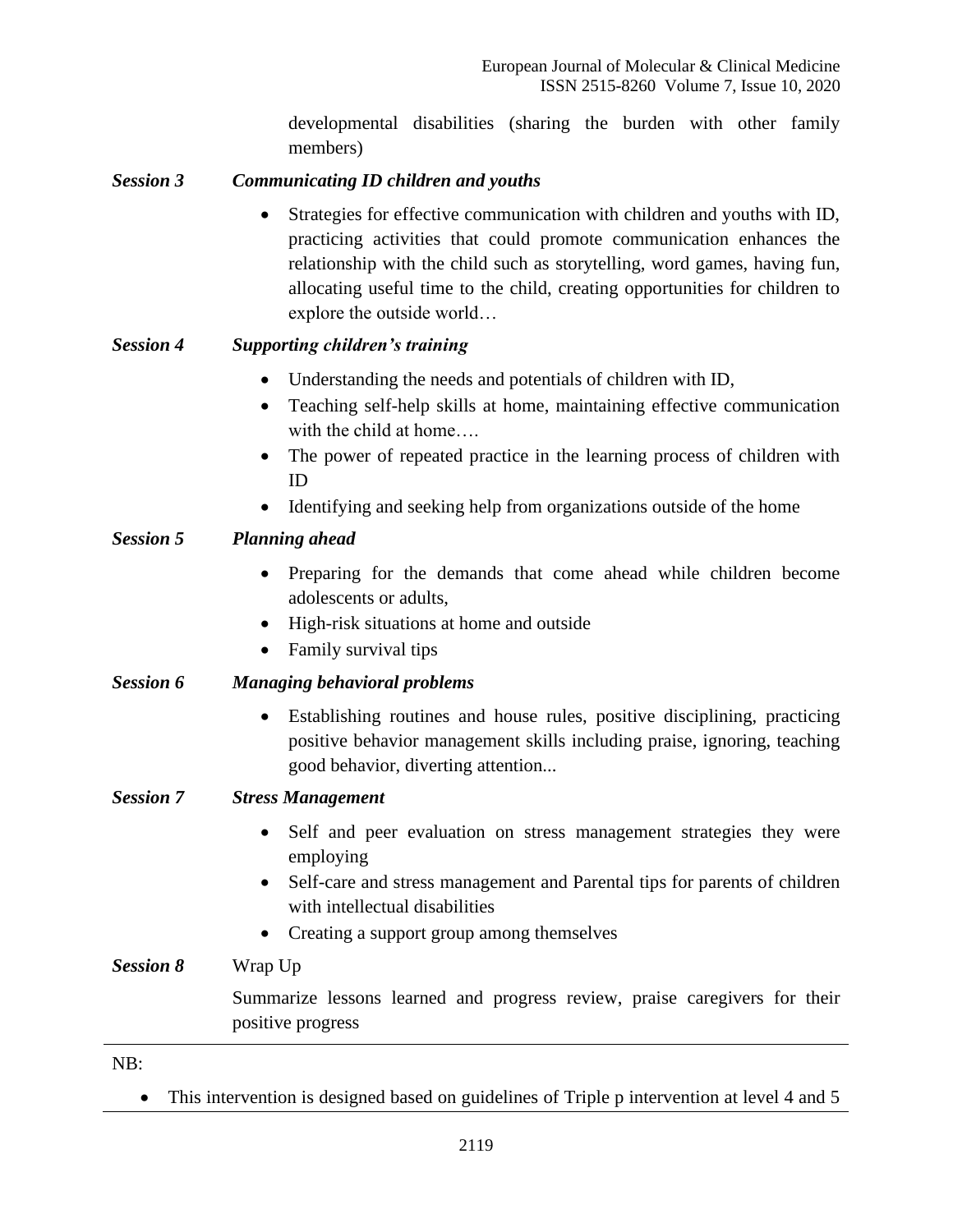developmental disabilities (sharing the burden with other family members)

# *Session 3 Communicating ID children and youths*

• Strategies for effective communication with children and youths with ID, practicing activities that could promote communication enhances the relationship with the child such as storytelling, word games, having fun, allocating useful time to the child, creating opportunities for children to explore the outside world…

# *Session 4 Supporting children's training*

- Understanding the needs and potentials of children with ID,
- Teaching self-help skills at home, maintaining effective communication with the child at home….
- The power of repeated practice in the learning process of children with ID
- Identifying and seeking help from organizations outside of the home

# *Session 5 Planning ahead*

- Preparing for the demands that come ahead while children become adolescents or adults,
- High-risk situations at home and outside
- Family survival tips

# *Session 6 Managing behavioral problems*

• Establishing routines and house rules, positive disciplining, practicing positive behavior management skills including praise, ignoring, teaching good behavior, diverting attention...

# *Session 7 Stress Management*

- Self and peer evaluation on stress management strategies they were employing
- Self-care and stress management and Parental tips for parents of children with intellectual disabilities
- Creating a support group among themselves

*Session 8* Wrap Up

Summarize lessons learned and progress review, praise caregivers for their positive progress

NB:

• This intervention is designed based on guidelines of Triple p intervention at level 4 and 5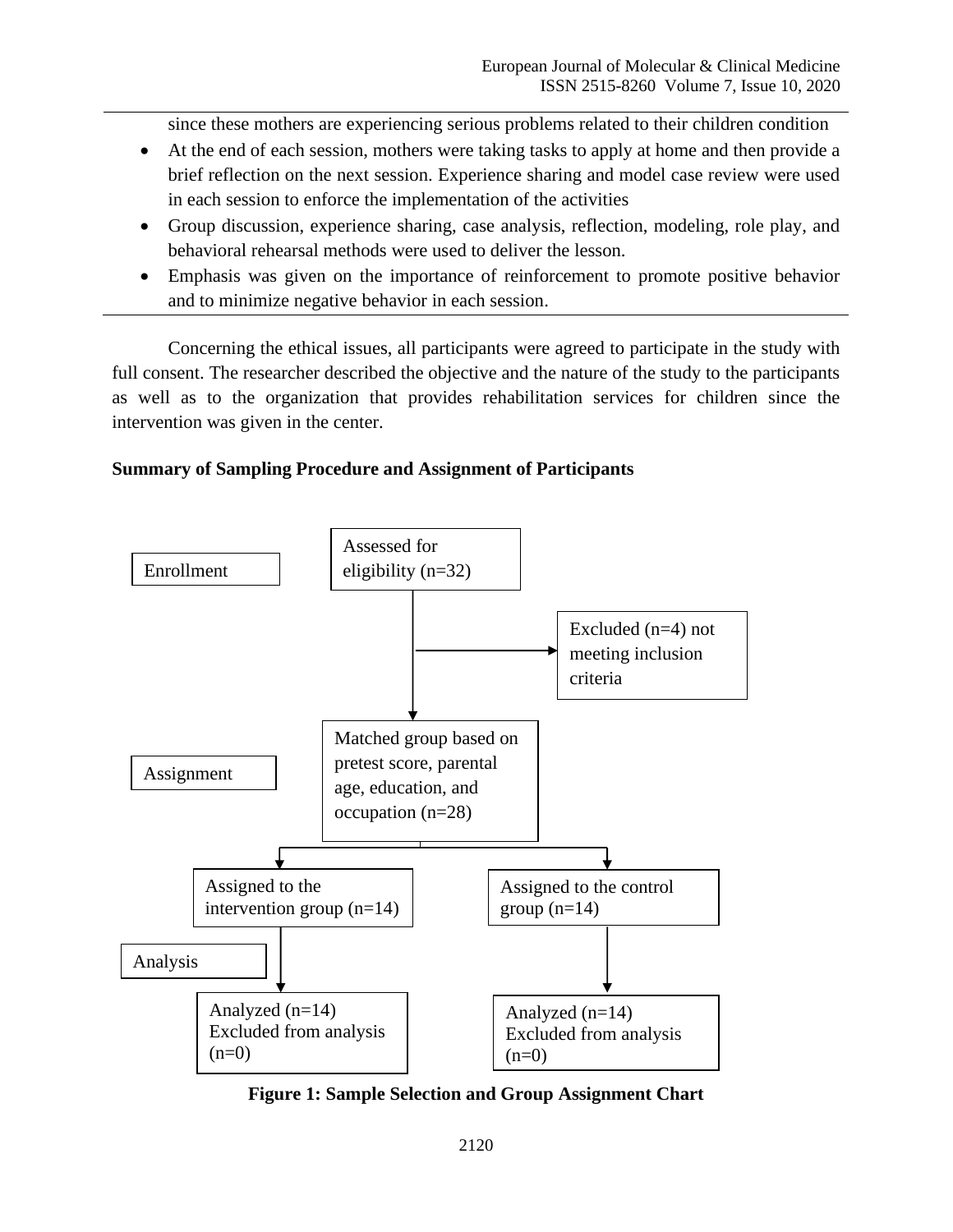since these mothers are experiencing serious problems related to their children condition

- At the end of each session, mothers were taking tasks to apply at home and then provide a brief reflection on the next session. Experience sharing and model case review were used in each session to enforce the implementation of the activities
- Group discussion, experience sharing, case analysis, reflection, modeling, role play, and behavioral rehearsal methods were used to deliver the lesson.
- Emphasis was given on the importance of reinforcement to promote positive behavior and to minimize negative behavior in each session.

Concerning the ethical issues, all participants were agreed to participate in the study with full consent. The researcher described the objective and the nature of the study to the participants as well as to the organization that provides rehabilitation services for children since the intervention was given in the center.

# **Summary of Sampling Procedure and Assignment of Participants**



**Figure 1: Sample Selection and Group Assignment Chart**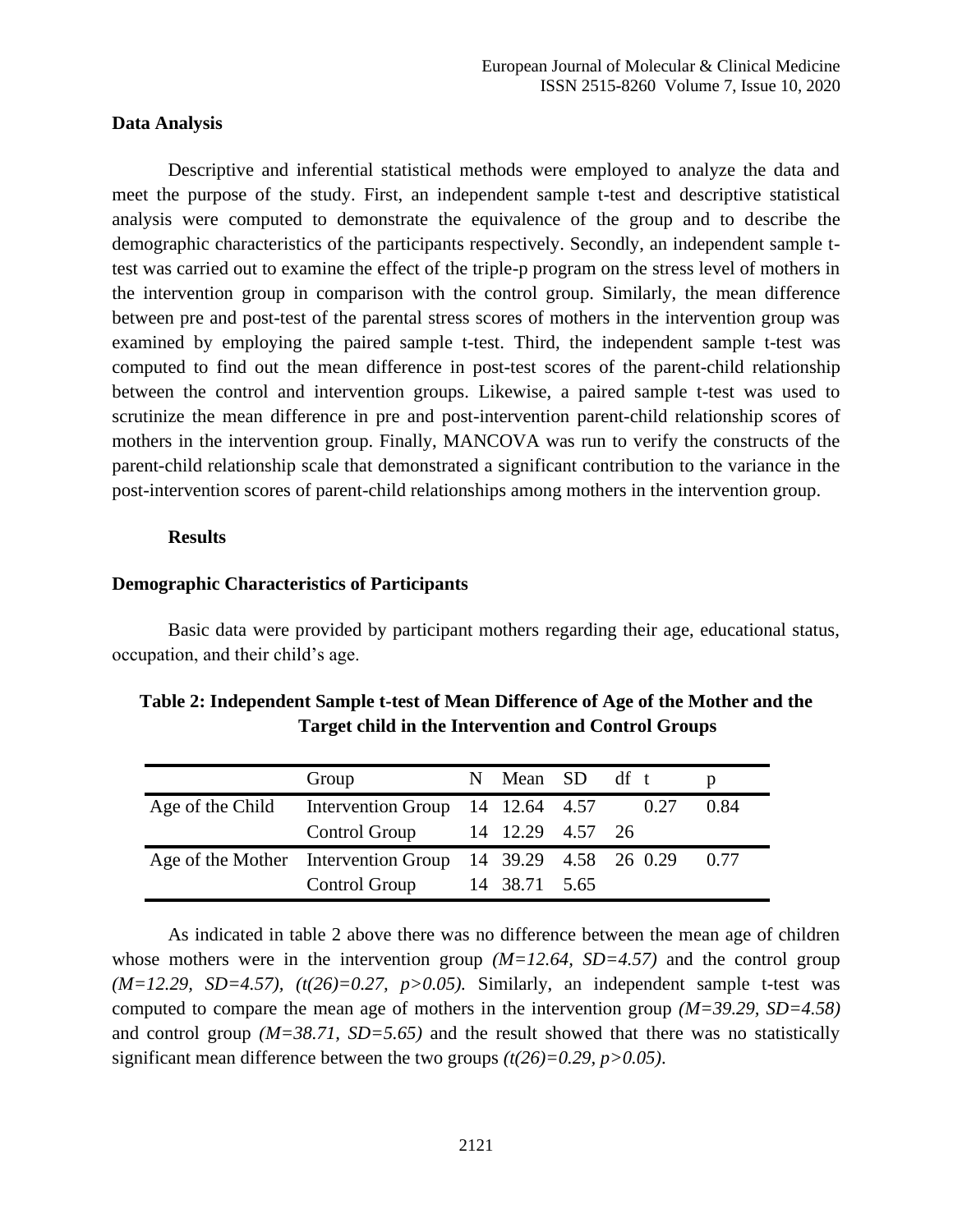#### **Data Analysis**

Descriptive and inferential statistical methods were employed to analyze the data and meet the purpose of the study. First, an independent sample t-test and descriptive statistical analysis were computed to demonstrate the equivalence of the group and to describe the demographic characteristics of the participants respectively. Secondly, an independent sample ttest was carried out to examine the effect of the triple-p program on the stress level of mothers in the intervention group in comparison with the control group. Similarly, the mean difference between pre and post-test of the parental stress scores of mothers in the intervention group was examined by employing the paired sample t-test. Third, the independent sample t-test was computed to find out the mean difference in post-test scores of the parent-child relationship between the control and intervention groups. Likewise, a paired sample t-test was used to scrutinize the mean difference in pre and post-intervention parent-child relationship scores of mothers in the intervention group. Finally, MANCOVA was run to verify the constructs of the parent-child relationship scale that demonstrated a significant contribution to the variance in the post-intervention scores of parent-child relationships among mothers in the intervention group.

### **Results**

#### **Demographic Characteristics of Participants**

Basic data were provided by participant mothers regarding their age, educational status, occupation, and their child's age.

| Table 2: Independent Sample t-test of Mean Difference of Age of the Mother and the |  |
|------------------------------------------------------------------------------------|--|
| <b>Target child in the Intervention and Control Groups</b>                         |  |

| Group                                                           | N Mean SD df t   |  |      |
|-----------------------------------------------------------------|------------------|--|------|
| Age of the Child Intervention Group $14$ 12.64 4.57 0.27        |                  |  | 0.84 |
| Control Group                                                   | 14 12.29 4.57 26 |  |      |
| Age of the Mother Intervention Group 14 39.29 4.58 26 0.29 0.77 |                  |  |      |
| Control Group                                                   | 14 38.71 5.65    |  |      |

As indicated in table 2 above there was no difference between the mean age of children whose mothers were in the intervention group *(M=12.64, SD=4.57)* and the control group  $(M=12.29, SD=4.57)$ ,  $(t(26)=0.27, p>0.05)$ . Similarly, an independent sample t-test was computed to compare the mean age of mothers in the intervention group *(M=39.29, SD=4.58)* and control group *(M=38.71, SD=5.65)* and the result showed that there was no statistically significant mean difference between the two groups *(t(26)=0.29, p>0.05)*.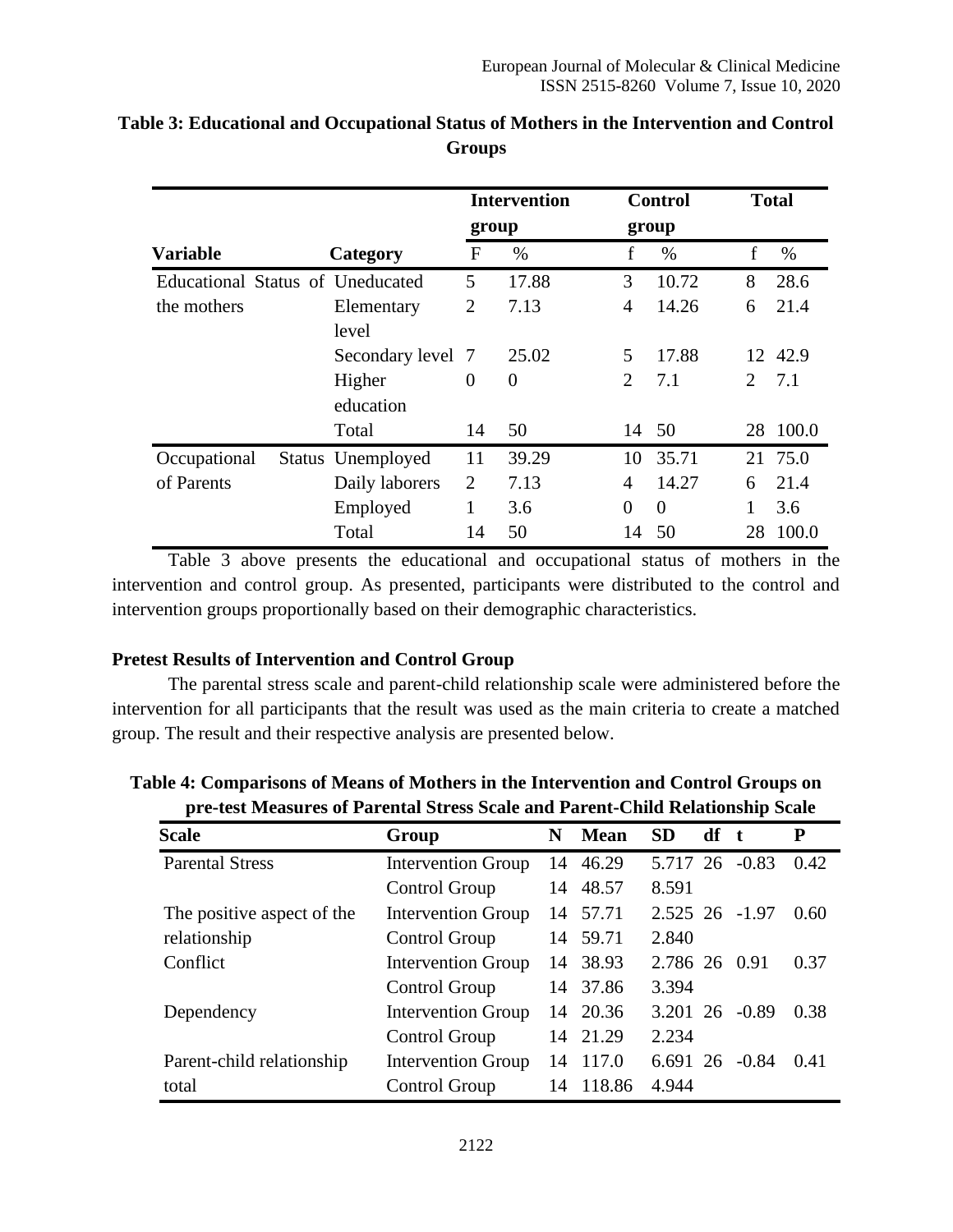|                                  |                     |                | <b>Intervention</b> |                | <b>Control</b> |                             | <b>Total</b> |
|----------------------------------|---------------------|----------------|---------------------|----------------|----------------|-----------------------------|--------------|
|                                  | group               |                |                     | group          |                |                             |              |
| <b>Variable</b>                  | Category            | $\mathbf{F}$   | $\%$                | f              | $\%$           | f                           | $\%$         |
| Educational Status of Uneducated |                     | 5              | 17.88               | 3              | 10.72          | 8                           | 28.6         |
| the mothers                      | Elementary<br>level | $\overline{2}$ | 7.13                | 4              | 14.26          | 6                           | 21.4         |
|                                  | Secondary level 7   |                | 25.02               | 5              | 17.88          |                             | 12 42.9      |
|                                  | Higher<br>education | $\overline{0}$ | $\overline{0}$      | $\overline{2}$ | 7.1            | $\mathcal{D}_{\mathcal{L}}$ | 7.1          |
|                                  | Total               | 14             | 50                  | 14             | - 50           |                             | 28 100.0     |
| Occupational                     | Status Unemployed   | 11             | 39.29               | 10             | 35.71          |                             | 21 75.0      |
| of Parents                       | Daily laborers      | $\overline{2}$ | 7.13                | 4              | 14.27          | 6                           | 21.4         |
|                                  | Employed            | 1              | 3.6                 | $\overline{0}$ | $\theta$       |                             | 3.6          |
|                                  | Total               | 14             | 50                  | 14             | 50             | 28                          | 100.0        |

# **Table 3: Educational and Occupational Status of Mothers in the Intervention and Control Groups**

Table 3 above presents the educational and occupational status of mothers in the intervention and control group. As presented, participants were distributed to the control and intervention groups proportionally based on their demographic characteristics.

# **Pretest Results of Intervention and Control Group**

The parental stress scale and parent-child relationship scale were administered before the intervention for all participants that the result was used as the main criteria to create a matched group. The result and their respective analysis are presented below.

| pre-ust measures or I areman stress searc and I arent-china inclationship searc |                           |    |             |                |    |                     |      |  |
|---------------------------------------------------------------------------------|---------------------------|----|-------------|----------------|----|---------------------|------|--|
| <b>Scale</b>                                                                    | Group                     | N  | <b>Mean</b> | <b>SD</b>      | df | -t                  | P    |  |
| <b>Parental Stress</b><br><b>Intervention Group</b>                             |                           |    | 14 46.29    |                |    | 5.717 26 -0.83      | 0.42 |  |
|                                                                                 | Control Group             |    | 14 48.57    | 8.591          |    |                     |      |  |
| The positive aspect of the                                                      | <b>Intervention Group</b> |    | 14 57.71    | 2.525 26 -1.97 |    |                     | 0.60 |  |
| relationship                                                                    | Control Group             |    | 14 59.71    | 2.840          |    |                     |      |  |
| Conflict                                                                        | <b>Intervention Group</b> |    | 14 38.93    | 2.786 26 0.91  |    |                     | 0.37 |  |
|                                                                                 | Control Group             |    | 14 37.86    | 3.394          |    |                     |      |  |
| Dependency                                                                      | <b>Intervention Group</b> |    | 14 20.36    |                |    | 3.201 26 -0.89      | 0.38 |  |
|                                                                                 | Control Group             |    | 14 21.29    | 2.234          |    |                     |      |  |
| Parent-child relationship                                                       | <b>Intervention Group</b> | 14 | 117.0       |                |    | $6.691\,26\, -0.84$ | 0.41 |  |
| total                                                                           | Control Group             | 14 | 118.86      | 4.944          |    |                     |      |  |

**Table 4: Comparisons of Means of Mothers in the Intervention and Control Groups on pre-test Measures of Parental Stress Scale and Parent-Child Relationship Scale**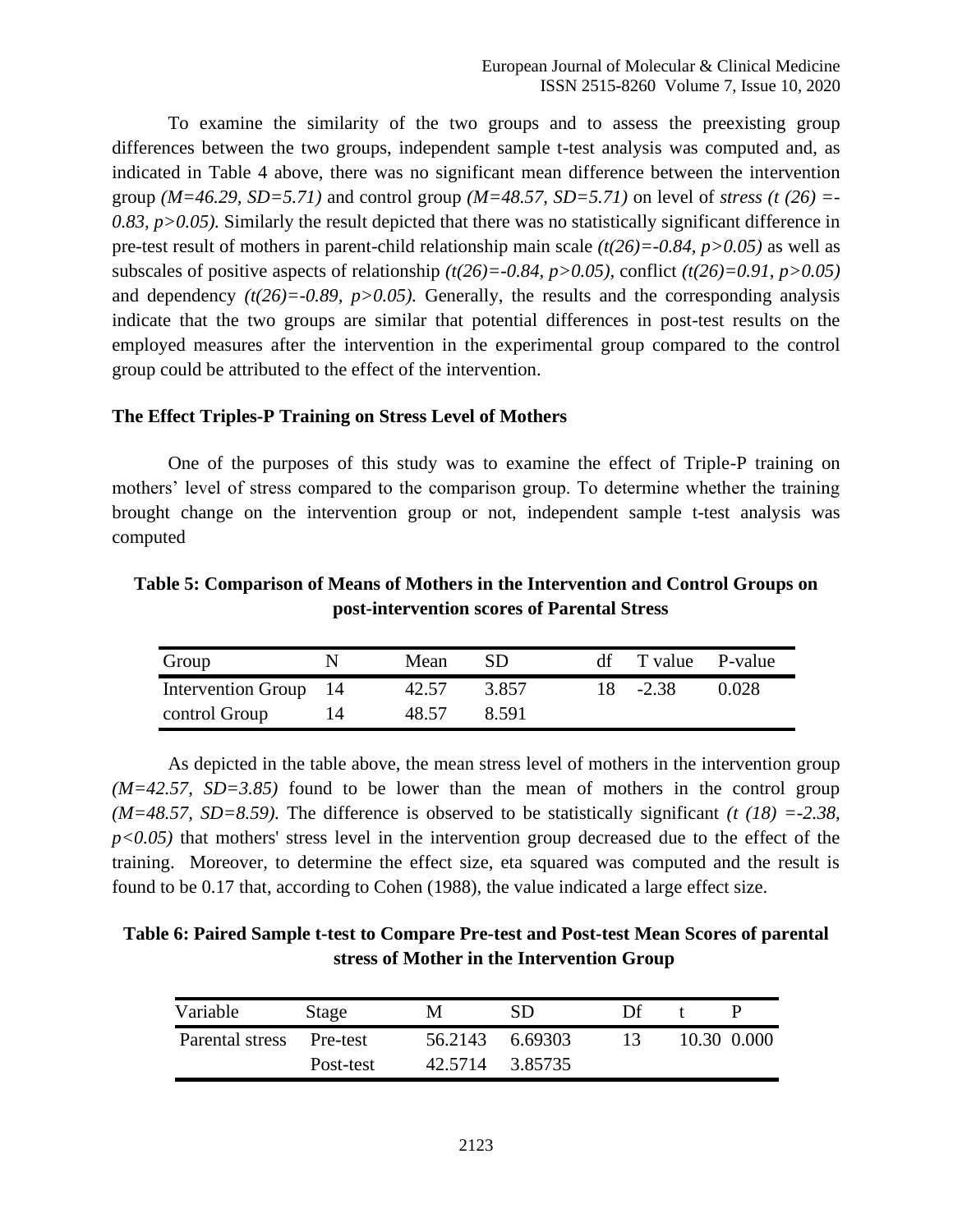To examine the similarity of the two groups and to assess the preexisting group differences between the two groups, independent sample t-test analysis was computed and, as indicated in Table 4 above, there was no significant mean difference between the intervention group *(M=46.29, SD=5.71)* and control group *(M=48.57, SD=5.71)* on level of *stress (t (26)* =-*0.83, p>0.05).* Similarly the result depicted that there was no statistically significant difference in pre-test result of mothers in parent-child relationship main scale *(t(26)=-0.84, p>0.05)* as well as subscales of positive aspects of relationship *(t(26)=-0.84, p>0.05),* conflict *(t(26)=0.91, p>0.05)* and dependency  $(t(26)=0.89, p>0.05)$ . Generally, the results and the corresponding analysis indicate that the two groups are similar that potential differences in post-test results on the employed measures after the intervention in the experimental group compared to the control group could be attributed to the effect of the intervention.

### **The Effect Triples-P Training on Stress Level of Mothers**

One of the purposes of this study was to examine the effect of Triple-P training on mothers' level of stress compared to the comparison group. To determine whether the training brought change on the intervention group or not, independent sample t-test analysis was computed

**Table 5: Comparison of Means of Mothers in the Intervention and Control Groups on post-intervention scores of Parental Stress**

| Group                 | Mean  | SD    | df T value P-value |       |
|-----------------------|-------|-------|--------------------|-------|
| Intervention Group 14 | 42.57 | 3.857 | $18 - 2.38$        | 0.028 |
| control Group         | 48.57 | 8.591 |                    |       |

As depicted in the table above, the mean stress level of mothers in the intervention group *(M=42.57, SD=3.85)* found to be lower than the mean of mothers in the control group *(M=48.57, SD=8.59).* The difference is observed to be statistically significant *(t (18) =-2.38,*   $p<0.05$ ) that mothers' stress level in the intervention group decreased due to the effect of the training. Moreover, to determine the effect size, eta squared was computed and the result is found to be 0.17 that, according to Cohen (1988), the value indicated a large effect size.

| Table 6: Paired Sample t-test to Compare Pre-test and Post-test Mean Scores of parental |
|-----------------------------------------------------------------------------------------|
| stress of Mother in the Intervention Group                                              |

| Variable                 | Stage     | М               | SD              | Df |             |
|--------------------------|-----------|-----------------|-----------------|----|-------------|
| Parental stress Pre-test |           | 56.2143 6.69303 |                 |    | 10.30 0.000 |
|                          | Post-test |                 | 42.5714 3.85735 |    |             |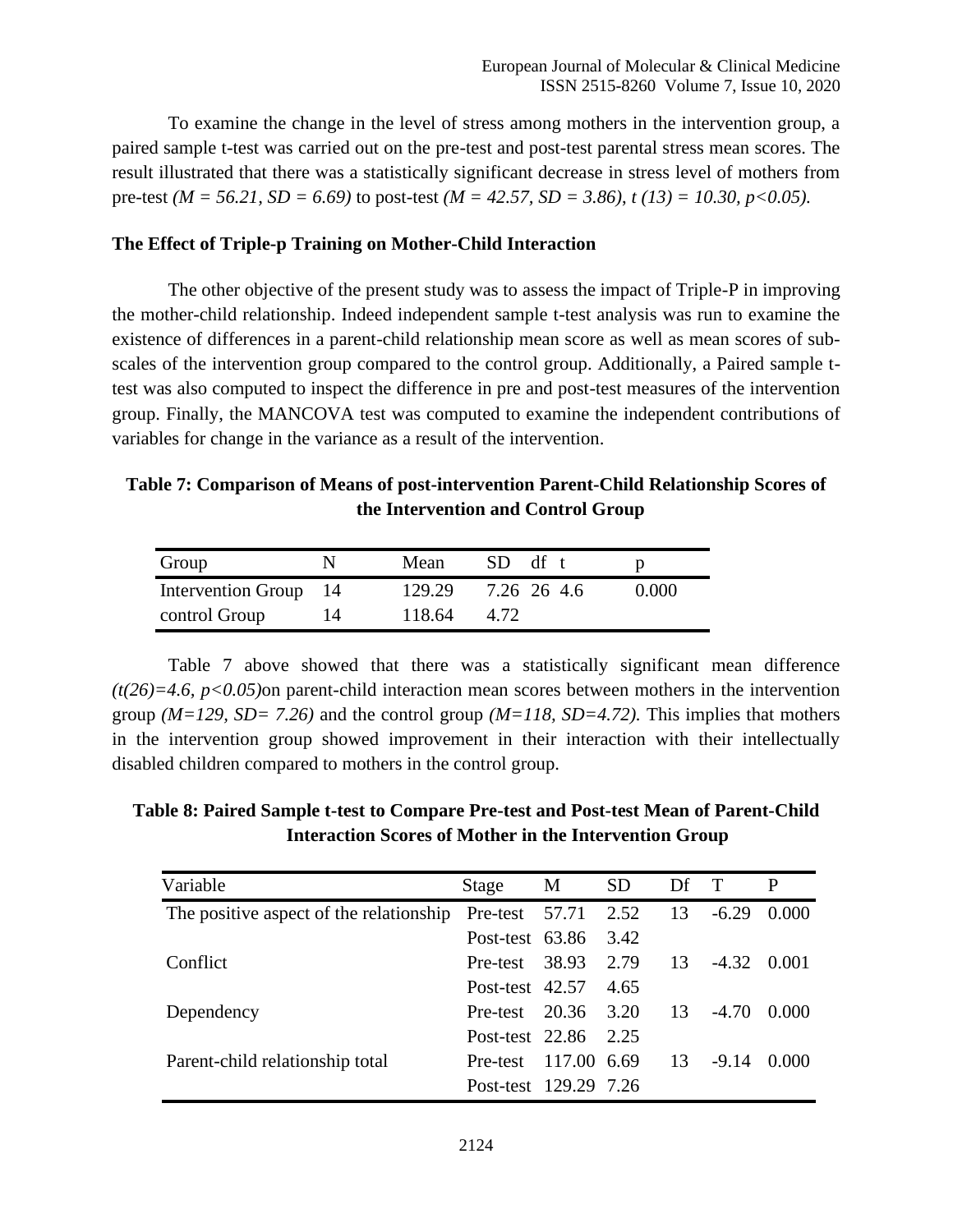To examine the change in the level of stress among mothers in the intervention group, a paired sample t-test was carried out on the pre-test and post-test parental stress mean scores. The result illustrated that there was a statistically significant decrease in stress level of mothers from pre-test *(M = 56.21, SD = 6.69)* to post-test *(M = 42.57, SD = 3.86)*, *t (13) = 10.30, p<0.05).*

### **The Effect of Triple-p Training on Mother-Child Interaction**

The other objective of the present study was to assess the impact of Triple-P in improving the mother-child relationship. Indeed independent sample t-test analysis was run to examine the existence of differences in a parent-child relationship mean score as well as mean scores of subscales of the intervention group compared to the control group. Additionally, a Paired sample ttest was also computed to inspect the difference in pre and post-test measures of the intervention group. Finally, the MANCOVA test was computed to examine the independent contributions of variables for change in the variance as a result of the intervention.

**Table 7: Comparison of Means of post-intervention Parent-Child Relationship Scores of the Intervention and Control Group**

| Group                 |    | Mean   | df t<br>SD. |       |
|-----------------------|----|--------|-------------|-------|
| Intervention Group 14 |    | 129.29 | 7.26 26 4.6 | 0.000 |
| control Group         | 14 | 118.64 | 4.72        |       |

Table 7 above showed that there was a statistically significant mean difference *(t(26)=4.6, p<0.05)*on parent-child interaction mean scores between mothers in the intervention group *(M=129, SD= 7.26)* and the control group *(M=118, SD=4.72).* This implies that mothers in the intervention group showed improvement in their interaction with their intellectually disabled children compared to mothers in the control group.

**Table 8: Paired Sample t-test to Compare Pre-test and Post-test Mean of Parent-Child Interaction Scores of Mother in the Intervention Group**

| Variable                                                      | Stage                 | M           | <b>SD</b> | Df T |         | P             |
|---------------------------------------------------------------|-----------------------|-------------|-----------|------|---------|---------------|
| The positive aspect of the relationship Pre-test $57.71$ 2.52 |                       |             |           | 13   | $-6.29$ | 0.000         |
|                                                               | Post-test 63.86 3.42  |             |           |      |         |               |
| Conflict                                                      | Pre-test 38.93 2.79   |             |           | -13  |         | $-4.32$ 0.001 |
|                                                               | Post-test 42.57       |             | 4.65      |      |         |               |
| Dependency                                                    | Pre-test 20.36 3.20   |             |           | -13  | $-4.70$ | 0.000         |
|                                                               | Post-test 22.86 2.25  |             |           |      |         |               |
| Parent-child relationship total                               | Pre-test              | 117.00 6.69 |           | -13  | $-9.14$ | 0.000         |
|                                                               | Post-test 129.29 7.26 |             |           |      |         |               |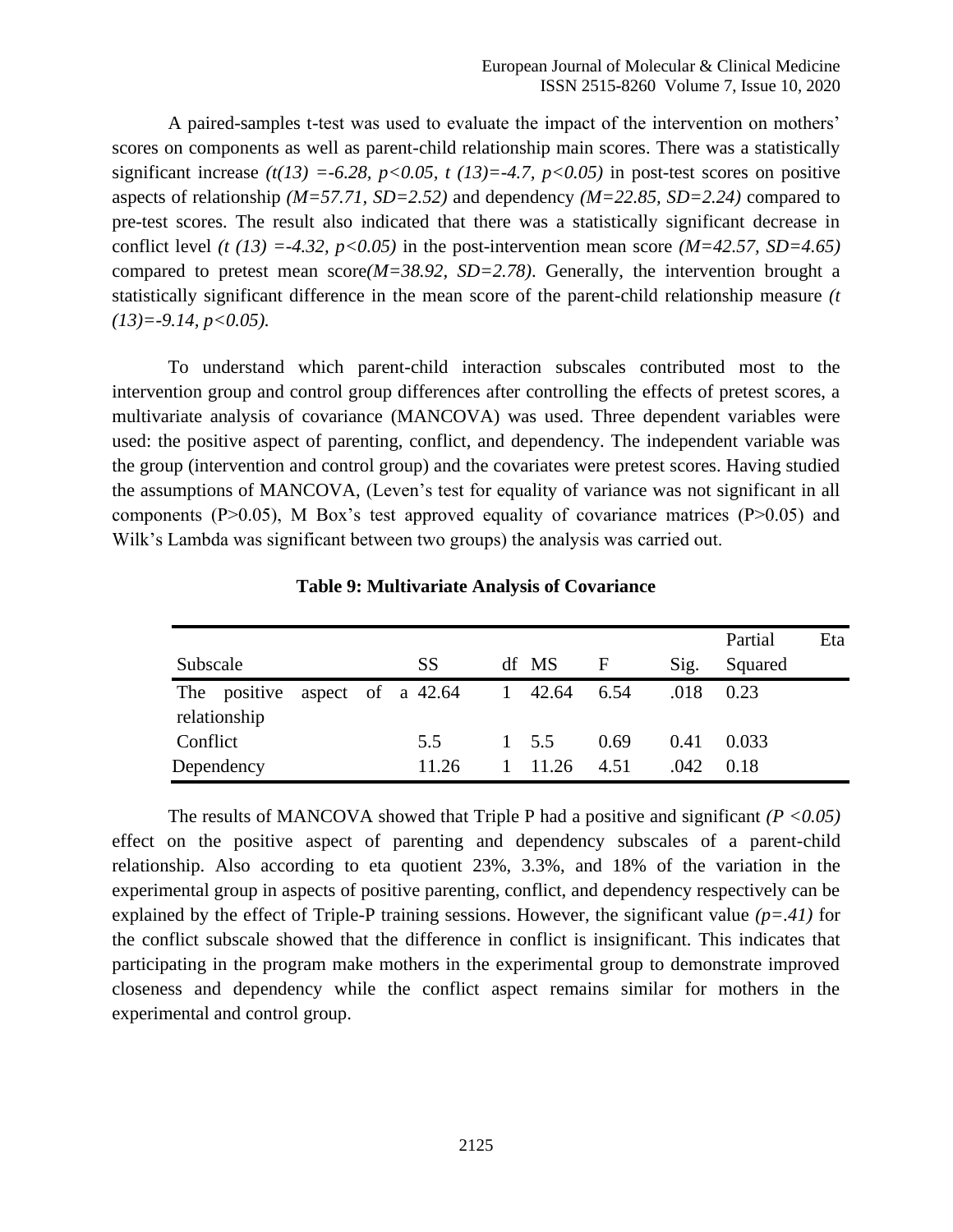A paired-samples t-test was used to evaluate the impact of the intervention on mothers' scores on components as well as parent-child relationship main scores. There was a statistically significant increase  $(t(13) = -6.28, p < 0.05, t (13) = -4.7, p < 0.05)$  in post-test scores on positive aspects of relationship *(M=57.71, SD=2.52)* and dependency *(M=22.85, SD=2.24)* compared to pre-test scores. The result also indicated that there was a statistically significant decrease in conflict level *(t (13) =-4.32, p<0.05)* in the post-intervention mean score *(M=42.57, SD=4.65)* compared to pretest mean score*(M=38.92, SD=2.78)*. Generally, the intervention brought a statistically significant difference in the mean score of the parent-child relationship measure *(t (13)=-9.14, p<0.05).*

To understand which parent-child interaction subscales contributed most to the intervention group and control group differences after controlling the effects of pretest scores, a multivariate analysis of covariance (MANCOVA) was used. Three dependent variables were used: the positive aspect of parenting, conflict, and dependency. The independent variable was the group (intervention and control group) and the covariates were pretest scores. Having studied the assumptions of MANCOVA, (Leven's test for equality of variance was not significant in all components ( $P > 0.05$ ), M Box's test approved equality of covariance matrices ( $P > 0.05$ ) and Wilk's Lambda was significant between two groups) the analysis was carried out.

|          |                              |  |                     |              |              |             |      | Partial | Eta |
|----------|------------------------------|--|---------------------|--------------|--------------|-------------|------|---------|-----|
| Subscale |                              |  | <b>SS</b>           |              | df MS        | $\mathbf F$ | Sig. | Squared |     |
|          | The positive<br>relationship |  | aspect of a $42.64$ | $\mathbf{1}$ | 42.64        | 6.54        | .018 | 0.23    |     |
| Conflict |                              |  | 5.5                 |              | $1\quad 5.5$ | 0.69        | 0.41 | 0.033   |     |
|          | Dependency                   |  | 11.26               |              | 11.26        | 4.51        | .042 | 0.18    |     |

**Table 9: Multivariate Analysis of Covariance**

The results of MANCOVA showed that Triple P had a positive and significant *(P <0.05)* effect on the positive aspect of parenting and dependency subscales of a parent-child relationship. Also according to eta quotient 23%, 3.3%, and 18% of the variation in the experimental group in aspects of positive parenting, conflict, and dependency respectively can be explained by the effect of Triple-P training sessions. However, the significant value *(p=.41)* for the conflict subscale showed that the difference in conflict is insignificant. This indicates that participating in the program make mothers in the experimental group to demonstrate improved closeness and dependency while the conflict aspect remains similar for mothers in the experimental and control group.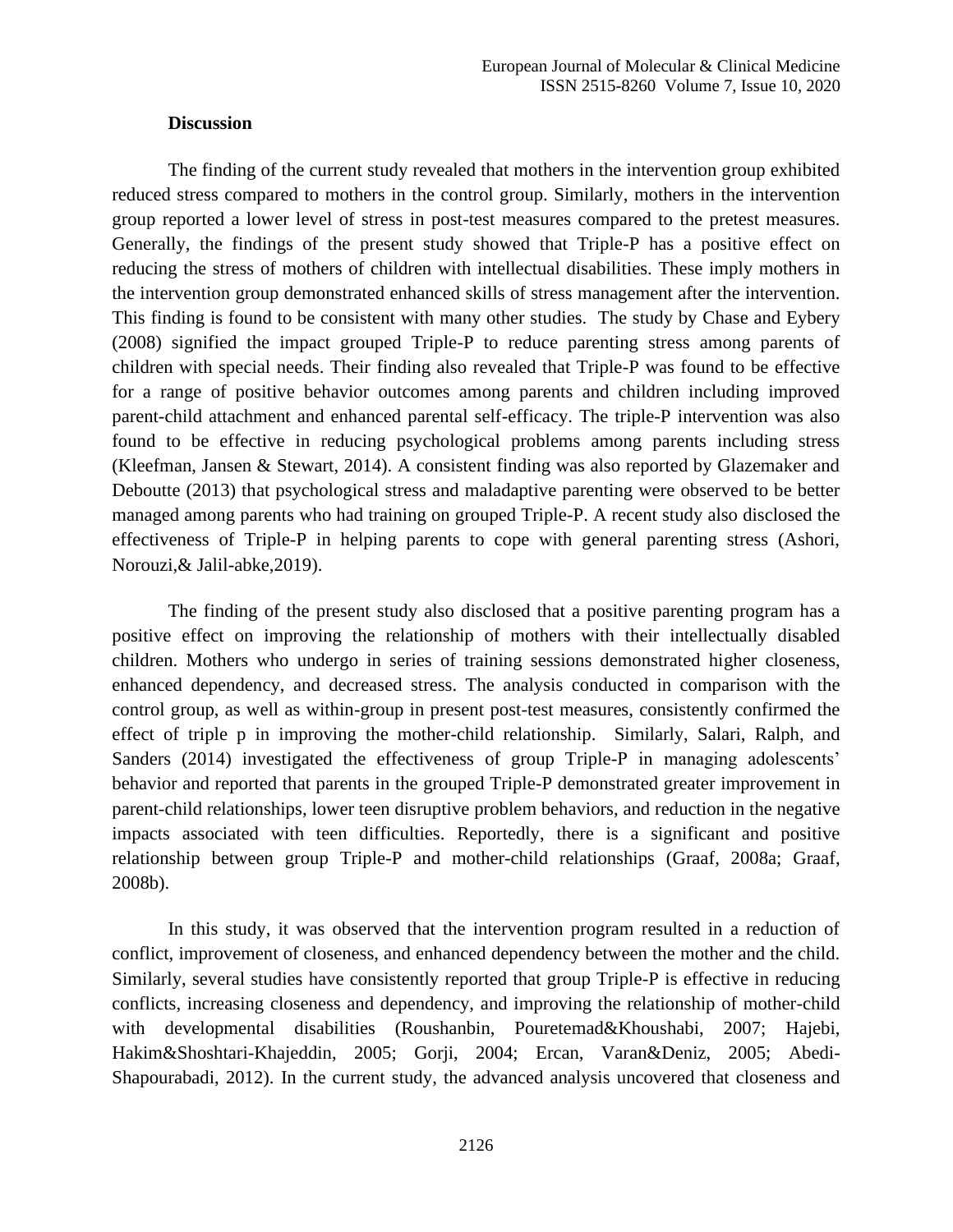### **Discussion**

The finding of the current study revealed that mothers in the intervention group exhibited reduced stress compared to mothers in the control group. Similarly, mothers in the intervention group reported a lower level of stress in post-test measures compared to the pretest measures. Generally, the findings of the present study showed that Triple-P has a positive effect on reducing the stress of mothers of children with intellectual disabilities. These imply mothers in the intervention group demonstrated enhanced skills of stress management after the intervention. This finding is found to be consistent with many other studies. The study by Chase and Eybery (2008) signified the impact grouped Triple-P to reduce parenting stress among parents of children with special needs. Their finding also revealed that Triple-P was found to be effective for a range of positive behavior outcomes among parents and children including improved parent-child attachment and enhanced parental self-efficacy. The triple-P intervention was also found to be effective in reducing psychological problems among parents including stress (Kleefman, Jansen & Stewart, 2014). A consistent finding was also reported by Glazemaker and Deboutte (2013) that psychological stress and maladaptive parenting were observed to be better managed among parents who had training on grouped Triple-P. A recent study also disclosed the effectiveness of Triple-P in helping parents to cope with general parenting stress (Ashori, Norouzi,& Jalil-abke,2019).

The finding of the present study also disclosed that a positive parenting program has a positive effect on improving the relationship of mothers with their intellectually disabled children. Mothers who undergo in series of training sessions demonstrated higher closeness, enhanced dependency, and decreased stress. The analysis conducted in comparison with the control group, as well as within-group in present post-test measures, consistently confirmed the effect of triple p in improving the mother-child relationship. Similarly, Salari, Ralph, and Sanders (2014) investigated the effectiveness of group Triple-P in managing adolescents' behavior and reported that parents in the grouped Triple-P demonstrated greater improvement in parent-child relationships, lower teen disruptive problem behaviors, and reduction in the negative impacts associated with teen difficulties. Reportedly, there is a significant and positive relationship between group Triple-P and mother-child relationships (Graaf, 2008a; Graaf, 2008b).

In this study, it was observed that the intervention program resulted in a reduction of conflict, improvement of closeness, and enhanced dependency between the mother and the child. Similarly, several studies have consistently reported that group Triple-P is effective in reducing conflicts, increasing closeness and dependency, and improving the relationship of mother-child with developmental disabilities (Roushanbin, Pouretemad&Khoushabi, 2007; Hajebi, Hakim&Shoshtari-Khajeddin, 2005; Gorji, 2004; Ercan, Varan&Deniz, 2005; Abedi-Shapourabadi, 2012). In the current study, the advanced analysis uncovered that closeness and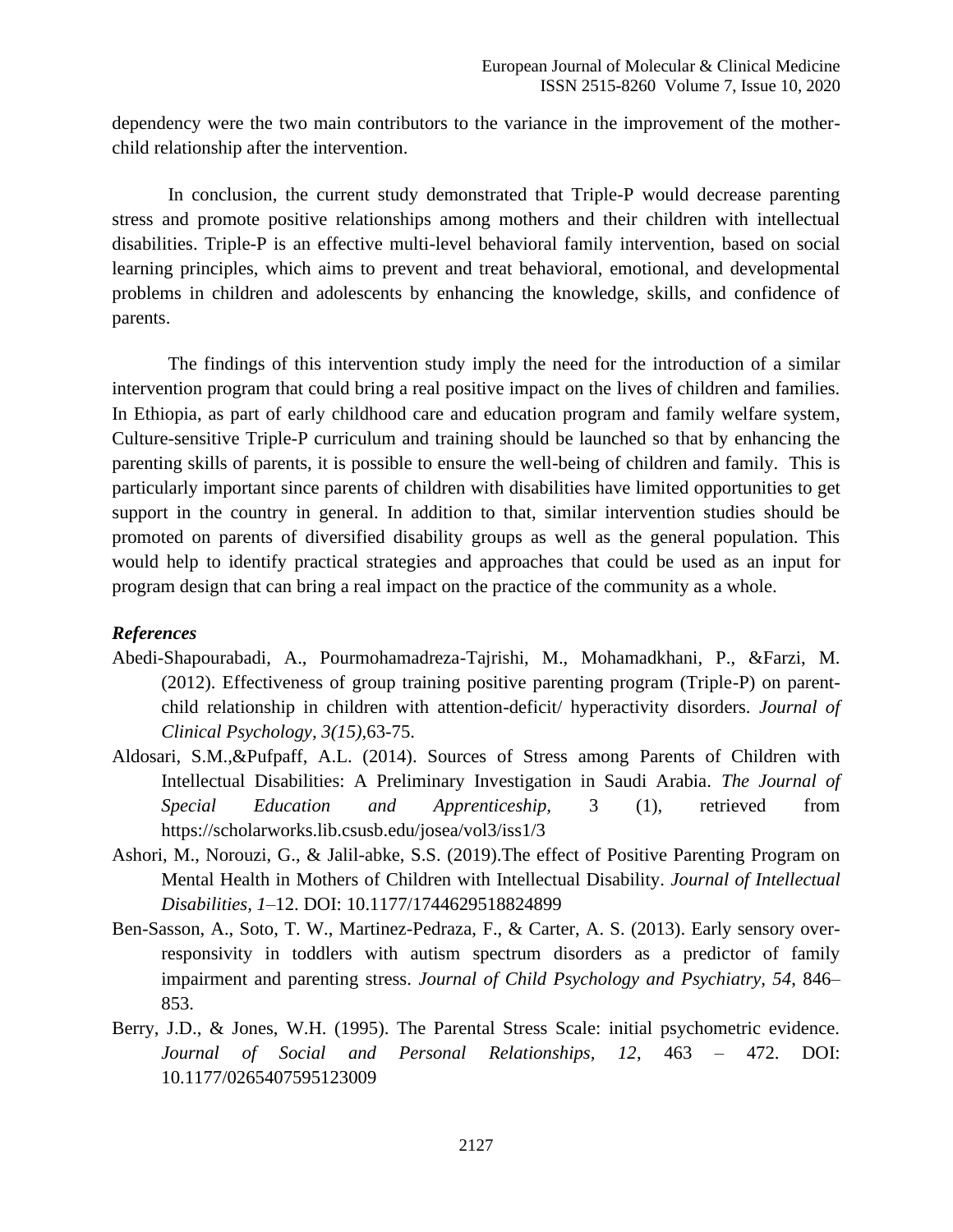dependency were the two main contributors to the variance in the improvement of the motherchild relationship after the intervention.

In conclusion, the current study demonstrated that Triple-P would decrease parenting stress and promote positive relationships among mothers and their children with intellectual disabilities. Triple-P is an effective multi-level behavioral family intervention, based on social learning principles, which aims to prevent and treat behavioral, emotional, and developmental problems in children and adolescents by enhancing the knowledge, skills, and confidence of parents.

The findings of this intervention study imply the need for the introduction of a similar intervention program that could bring a real positive impact on the lives of children and families. In Ethiopia, as part of early childhood care and education program and family welfare system, Culture-sensitive Triple-P curriculum and training should be launched so that by enhancing the parenting skills of parents, it is possible to ensure the well-being of children and family. This is particularly important since parents of children with disabilities have limited opportunities to get support in the country in general. In addition to that, similar intervention studies should be promoted on parents of diversified disability groups as well as the general population. This would help to identify practical strategies and approaches that could be used as an input for program design that can bring a real impact on the practice of the community as a whole.

### *References*

- Abedi-Shapourabadi, A., Pourmohamadreza-Tajrishi, M., Mohamadkhani, P., &Farzi, M. (2012). Effectiveness of group training positive parenting program (Triple-P) on parentchild relationship in children with attention-deficit/ hyperactivity disorders. *Journal of Clinical Psychology, 3(15),*63-75.
- Aldosari, S.M.,&Pufpaff, A.L. (2014). Sources of Stress among Parents of Children with Intellectual Disabilities: A Preliminary Investigation in Saudi Arabia. *The Journal of Special Education and Apprenticeship,* 3 (1), retrieved from https://scholarworks.lib.csusb.edu/josea/vol3/iss1/3
- Ashori, M., Norouzi, G., & Jalil-abke, S.S. (2019).The effect of Positive Parenting Program on Mental Health in Mothers of Children with Intellectual Disability. *Journal of Intellectual Disabilities, 1*–12. DOI: 10.1177/1744629518824899
- Ben-Sasson, A., Soto, T. W., Martinez-Pedraza, F., & Carter, A. S. (2013). Early sensory overresponsivity in toddlers with autism spectrum disorders as a predictor of family impairment and parenting stress. *Journal of Child Psychology and Psychiatry, 54*, 846– 853.
- Berry, J.D., & Jones, W.H. (1995). The Parental Stress Scale: initial psychometric evidence. *Journal of Social and Personal Relationships, 12*, 463 – 472. DOI: 10.1177/0265407595123009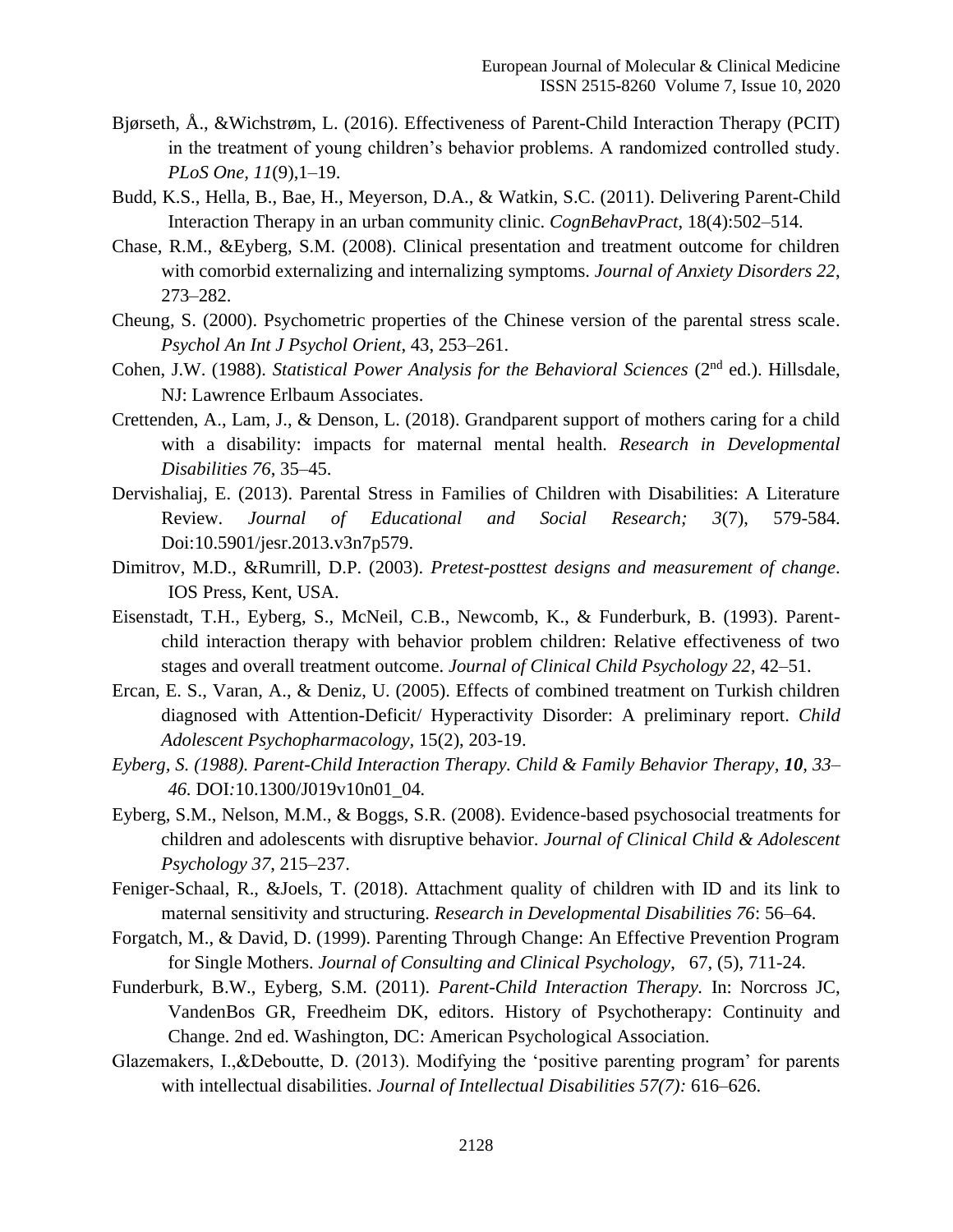- Bjørseth, Å., &Wichstrøm, L. (2016). Effectiveness of Parent-Child Interaction Therapy (PCIT) in the treatment of young children's behavior problems. A randomized controlled study. *PLoS One, 11*(9),1–19.
- Budd, K.S., Hella, B., Bae, H., Meyerson, D.A., & Watkin, S.C. (2011). Delivering Parent-Child Interaction Therapy in an urban community clinic. *CognBehavPract*, 18(4):502–514.
- Chase, R.M., &Eyberg, S.M. (2008). Clinical presentation and treatment outcome for children with comorbid externalizing and internalizing symptoms. *Journal of Anxiety Disorders 22*, 273–282.
- Cheung, S. (2000). Psychometric properties of the Chinese version of the parental stress scale. *Psychol An Int J Psychol Orient*, 43, 253–261.
- Cohen, J.W. (1988). *Statistical Power Analysis for the Behavioral Sciences* (2<sup>nd</sup> ed.). Hillsdale. NJ: Lawrence Erlbaum Associates.
- Crettenden, A., Lam, J., & Denson, L. (2018). Grandparent support of mothers caring for a child with a disability: impacts for maternal mental health*. Research in Developmental Disabilities 76*, 35–45.
- Dervishaliaj, E. (2013). Parental Stress in Families of Children with Disabilities: A Literature Review. *Journal of Educational and Social Research; 3*(7), 579-584. Doi:10.5901/jesr.2013.v3n7p579.
- Dimitrov, M.D., &Rumrill, D.P. (2003). *Pretest-posttest designs and measurement of change*. IOS Press, Kent, USA.
- Eisenstadt, T.H., Eyberg, S., McNeil, C.B., Newcomb, K., & Funderburk, B. (1993). Parentchild interaction therapy with behavior problem children: Relative effectiveness of two stages and overall treatment outcome. *Journal of Clinical Child Psychology 22*, 42–51.
- Ercan, E. S., Varan, A., & Deniz, U. (2005). Effects of combined treatment on Turkish children diagnosed with Attention-Deficit/ Hyperactivity Disorder: A preliminary report. *Child Adolescent Psychopharmacology,* 15(2), 203-19.
- *Eyberg, S. (1988). Parent-Child Interaction Therapy. Child & Family Behavior Therapy, 10, 33– 46.* [DOI](about:blank)*:*[10.1300/J019v10n01\\_04](about:blank)*.*
- Eyberg, S.M., Nelson, M.M., & Boggs, S.R. (2008). Evidence-based psychosocial treatments for children and adolescents with disruptive behavior. *Journal of Clinical Child & Adolescent Psychology 37*, 215–237.
- Feniger-Schaal, R., &Joels, T. (2018). Attachment quality of children with ID and its link to maternal sensitivity and structuring. *Research in Developmental Disabilities 76*: 56–64.
- Forgatch, M., & David, D. (1999). Parenting Through Change: An Effective Prevention Program for Single Mothers. *Journal of Consulting and Clinical Psychology*, 67, (5), 711-24.
- Funderburk, B.W., Eyberg, S.M. (2011). *Parent-Child Interaction Therapy.* In: Norcross JC, VandenBos GR, Freedheim DK, editors. History of Psychotherapy: Continuity and Change. 2nd ed. Washington, DC: American Psychological Association.
- Glazemakers, I.,&Deboutte, D. (2013). Modifying the 'positive parenting program' for parents with intellectual disabilities. *Journal of Intellectual Disabilities 57(7):* 616–626.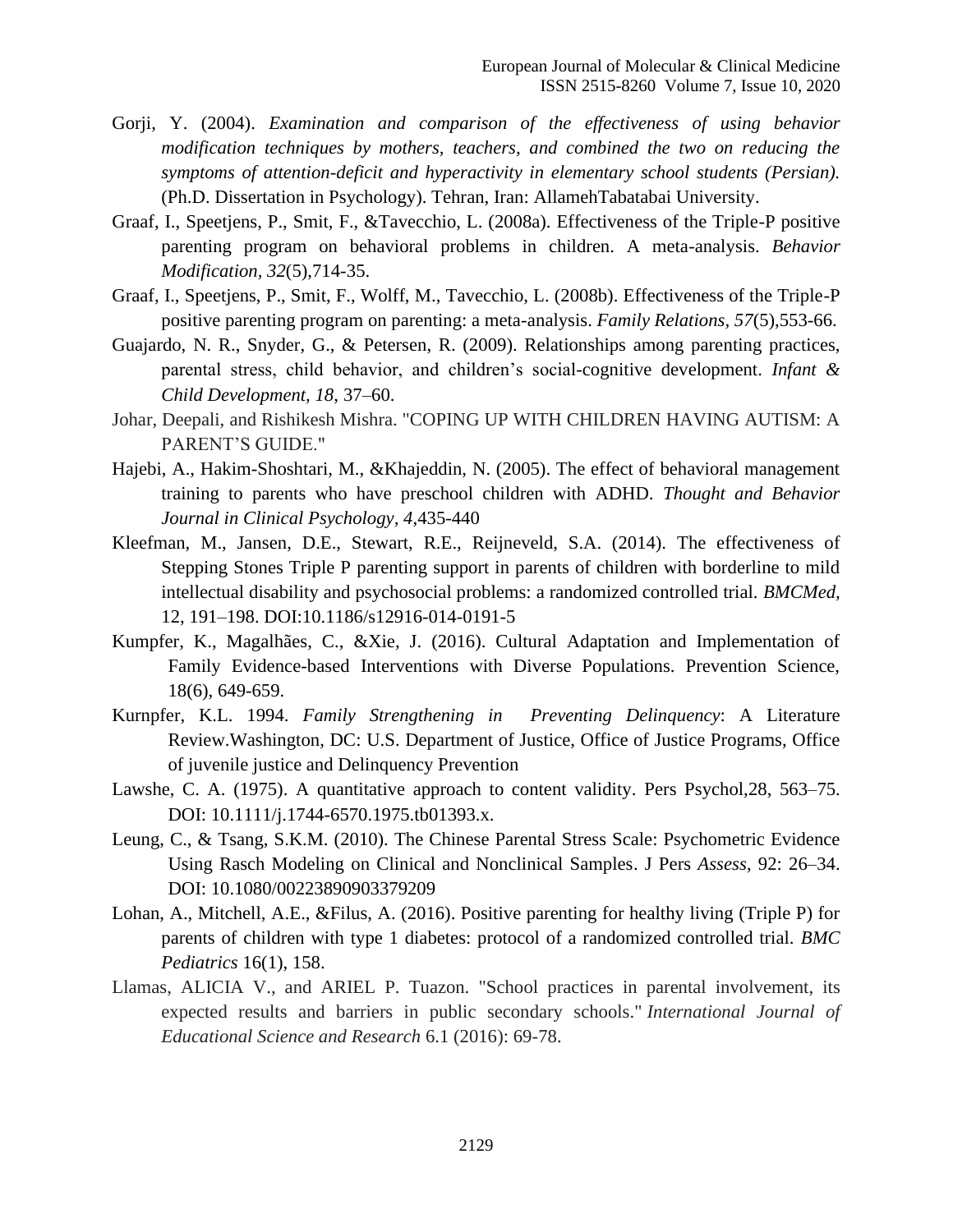- Gorji, Y. (2004). *Examination and comparison of the effectiveness of using behavior modification techniques by mothers, teachers, and combined the two on reducing the symptoms of attention-deficit and hyperactivity in elementary school students (Persian).* (Ph.D. Dissertation in Psychology). Tehran, Iran: AllamehTabatabai University.
- Graaf, I., Speetjens, P., Smit, F., &Tavecchio, L. (2008a). Effectiveness of the Triple-P positive parenting program on behavioral problems in children. A meta-analysis. *Behavior Modification, 32*(5),714-35.
- Graaf, I., Speetjens, P., Smit, F., Wolff, M., Tavecchio, L. (2008b). Effectiveness of the Triple-P positive parenting program on parenting: a meta-analysis. *Family Relations, 57*(5),553-66.
- Guajardo, N. R., Snyder, G., & Petersen, R. (2009). Relationships among parenting practices, parental stress, child behavior, and children's social-cognitive development. *Infant & Child Development, 18*, 37–60.
- Johar, Deepali, and Rishikesh Mishra. "COPING UP WITH CHILDREN HAVING AUTISM: A PARENT'S GUIDE."
- Hajebi, A., Hakim-Shoshtari, M., &Khajeddin, N. (2005). The effect of behavioral management training to parents who have preschool children with ADHD. *Thought and Behavior Journal in Clinical Psychology, 4*,435-440
- Kleefman, M., Jansen, D.E., Stewart, R.E., Reijneveld, S.A. (2014). The effectiveness of Stepping Stones Triple P parenting support in parents of children with borderline to mild intellectual disability and psychosocial problems: a randomized controlled trial. *BMCMed,*  12, 191–198. DOI:10.1186/s12916-014-0191-5
- Kumpfer, K., Magalhães, C., &Xie, J. (2016). Cultural Adaptation and Implementation of Family Evidence-based Interventions with Diverse Populations. Prevention Science, 18(6), 649-659.
- Kurnpfer, K.L. 1994. *Family Strengthening in Preventing Delinquency*: A Literature Review.Washington, DC: U.S. Department of Justice, Office of Justice Programs, Office of juvenile justice and Delinquency Prevention
- Lawshe, C. A. (1975). A quantitative approach to content validity. Pers Psychol,28, 563–75. DOI: 10.1111/j.1744-6570.1975.tb01393.x.
- Leung, C., & Tsang, S.K.M. (2010). The Chinese Parental Stress Scale: Psychometric Evidence Using Rasch Modeling on Clinical and Nonclinical Samples. J Pers *Assess*, 92: 26–34. DOI: 10.1080/00223890903379209
- Lohan, A., Mitchell, A.E., &Filus, A. (2016). Positive parenting for healthy living (Triple P) for parents of children with type 1 diabetes: protocol of a randomized controlled trial. *BMC Pediatrics* 16(1), 158.
- Llamas, ALICIA V., and ARIEL P. Tuazon. "School practices in parental involvement, its expected results and barriers in public secondary schools." *International Journal of Educational Science and Research* 6.1 (2016): 69-78.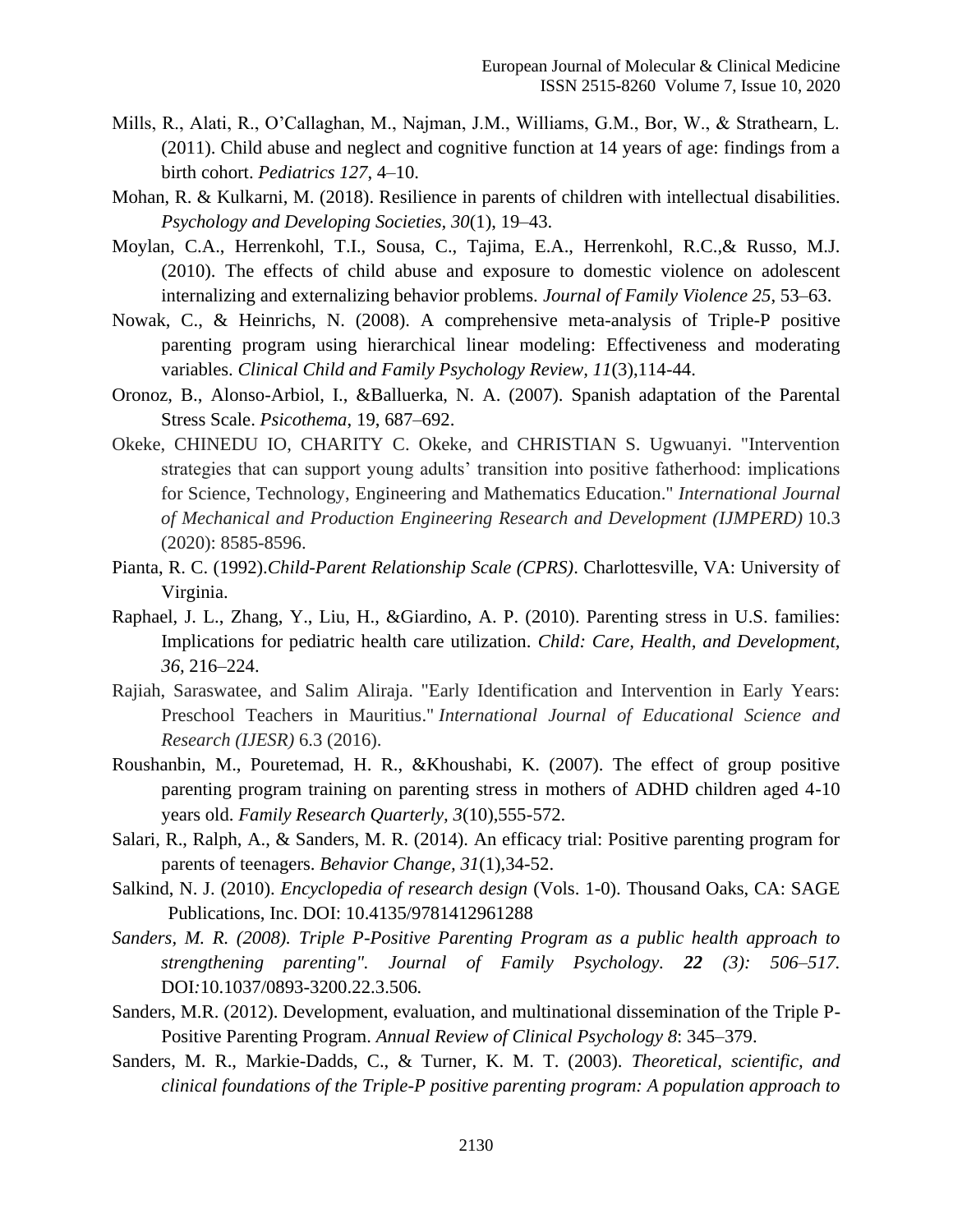- Mills, R., Alati, R., O'Callaghan, M., Najman, J.M., Williams, G.M., Bor, W., & Strathearn, L. (2011). Child abuse and neglect and cognitive function at 14 years of age: findings from a birth cohort. *Pediatrics 127*, 4–10.
- Mohan, R. & Kulkarni, M. (2018). Resilience in parents of children with intellectual disabilities. *Psychology and Developing Societies, 30*(1), 19–43.
- Moylan, C.A., Herrenkohl, T.I., Sousa, C., Tajima, E.A., Herrenkohl, R.C.,& Russo, M.J. (2010). The effects of child abuse and exposure to domestic violence on adolescent internalizing and externalizing behavior problems. *Journal of Family Violence 25*, 53–63.
- Nowak, C., & Heinrichs, N. (2008). A comprehensive meta-analysis of Triple-P positive parenting program using hierarchical linear modeling: Effectiveness and moderating variables. *Clinical Child and Family Psychology Review, 11*(3),114-44.
- Oronoz, B., Alonso-Arbiol, I., &Balluerka, N. A. (2007). Spanish adaptation of the Parental Stress Scale. *Psicothema*, 19, 687–692.
- Okeke, CHINEDU IO, CHARITY C. Okeke, and CHRISTIAN S. Ugwuanyi. "Intervention strategies that can support young adults' transition into positive fatherhood: implications for Science, Technology, Engineering and Mathematics Education." *International Journal of Mechanical and Production Engineering Research and Development (IJMPERD)* 10.3 (2020): 8585-8596.
- Pianta, R. C. (1992).*Child-Parent Relationship Scale (CPRS)*. Charlottesville, VA: University of Virginia.
- Raphael, J. L., Zhang, Y., Liu, H., &Giardino, A. P. (2010). Parenting stress in U.S. families: Implications for pediatric health care utilization. *Child: Care, Health, and Development, 36,* 216–224.
- Rajiah, Saraswatee, and Salim Aliraja. "Early Identification and Intervention in Early Years: Preschool Teachers in Mauritius." *International Journal of Educational Science and Research (IJESR)* 6.3 (2016).
- Roushanbin, M., Pouretemad, H. R., &Khoushabi, K. (2007). The effect of group positive parenting program training on parenting stress in mothers of ADHD children aged 4-10 years old. *Family Research Quarterly, 3*(10),555-572.
- Salari, R., Ralph, A., & Sanders, M. R. (2014). An efficacy trial: Positive parenting program for parents of teenagers. *Behavior Change, 31*(1),34-52.
- Salkind, N. J. (2010). *Encyclopedia of research design* (Vols. 1-0). Thousand Oaks, CA: SAGE Publications, Inc. DOI: 10.4135/9781412961288
- *Sanders, M. R. (2008). Triple P-Positive Parenting Program as a public health approach to strengthening parenting". Journal of Family Psychology. 22 (3): 506–517.*  DOI*:*[10.1037/0893-3200.22.3.506](about:blank)*.*
- Sanders, M.R. (2012). Development, evaluation, and multinational dissemination of the Triple P-Positive Parenting Program. *Annual Review of Clinical Psychology 8*: 345–379.
- Sanders, M. R., Markie-Dadds, C., & Turner, K. M. T. (2003). *Theoretical, scientific, and clinical foundations of the Triple-P positive parenting program: A population approach to*